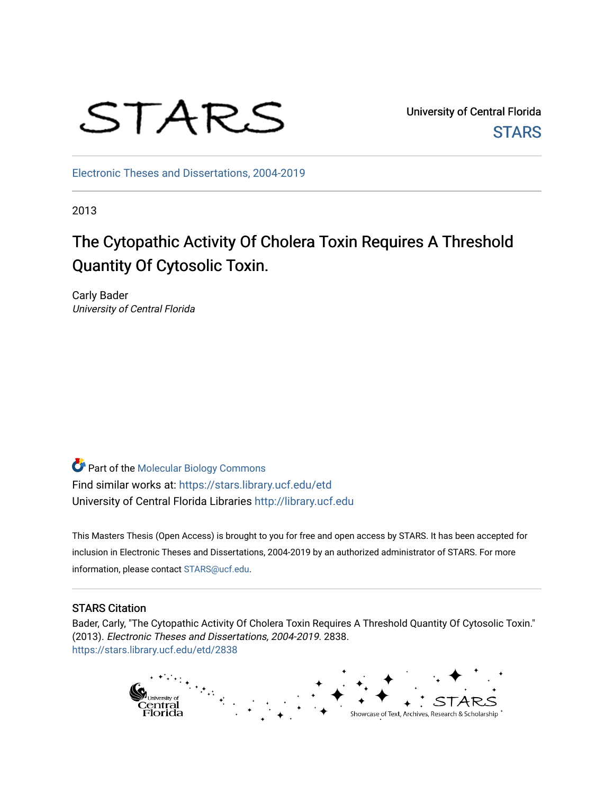

University of Central Florida **STARS** 

[Electronic Theses and Dissertations, 2004-2019](https://stars.library.ucf.edu/etd) 

2013

# The Cytopathic Activity Of Cholera Toxin Requires A Threshold Quantity Of Cytosolic Toxin.

Carly Bader University of Central Florida

Part of the [Molecular Biology Commons](http://network.bepress.com/hgg/discipline/5?utm_source=stars.library.ucf.edu%2Fetd%2F2838&utm_medium=PDF&utm_campaign=PDFCoverPages) Find similar works at: <https://stars.library.ucf.edu/etd> University of Central Florida Libraries [http://library.ucf.edu](http://library.ucf.edu/) 

This Masters Thesis (Open Access) is brought to you for free and open access by STARS. It has been accepted for inclusion in Electronic Theses and Dissertations, 2004-2019 by an authorized administrator of STARS. For more information, please contact [STARS@ucf.edu.](mailto:STARS@ucf.edu)

#### STARS Citation

Bader, Carly, "The Cytopathic Activity Of Cholera Toxin Requires A Threshold Quantity Of Cytosolic Toxin." (2013). Electronic Theses and Dissertations, 2004-2019. 2838. [https://stars.library.ucf.edu/etd/2838](https://stars.library.ucf.edu/etd/2838?utm_source=stars.library.ucf.edu%2Fetd%2F2838&utm_medium=PDF&utm_campaign=PDFCoverPages) 

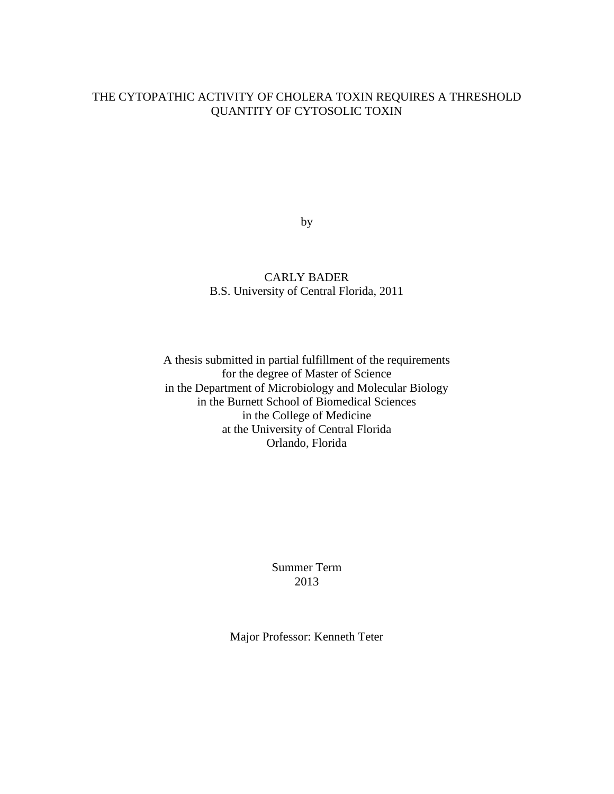### THE CYTOPATHIC ACTIVITY OF CHOLERA TOXIN REQUIRES A THRESHOLD QUANTITY OF CYTOSOLIC TOXIN

by

CARLY BADER B.S. University of Central Florida, 2011

A thesis submitted in partial fulfillment of the requirements for the degree of Master of Science in the Department of Microbiology and Molecular Biology in the Burnett School of Biomedical Sciences in the College of Medicine at the University of Central Florida Orlando, Florida

> Summer Term 2013

Major Professor: Kenneth Teter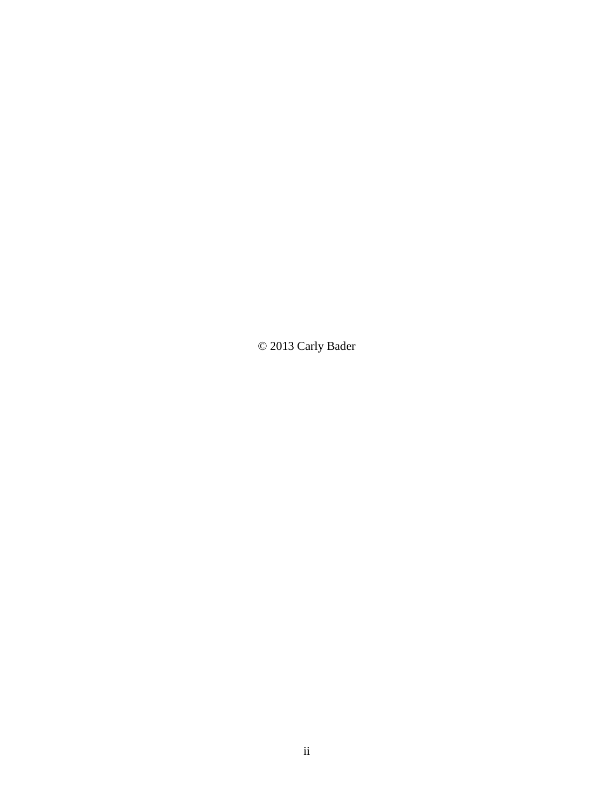© 2013 Carly Bader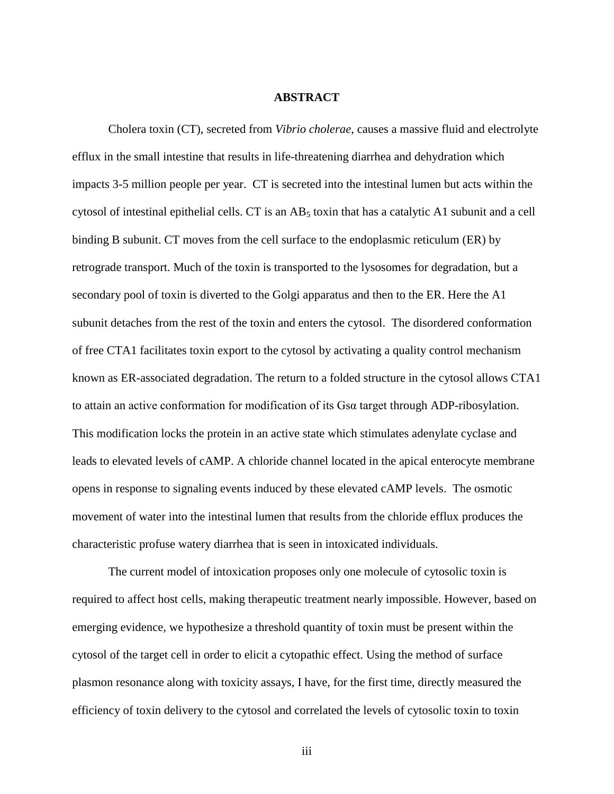#### **ABSTRACT**

Cholera toxin (CT), secreted from *Vibrio cholerae*, causes a massive fluid and electrolyte efflux in the small intestine that results in life-threatening diarrhea and dehydration which impacts 3-5 million people per year. CT is secreted into the intestinal lumen but acts within the cytosol of intestinal epithelial cells. CT is an  $AB_5$  toxin that has a catalytic A1 subunit and a cell binding B subunit. CT moves from the cell surface to the endoplasmic reticulum (ER) by retrograde transport. Much of the toxin is transported to the lysosomes for degradation, but a secondary pool of toxin is diverted to the Golgi apparatus and then to the ER. Here the A1 subunit detaches from the rest of the toxin and enters the cytosol. The disordered conformation of free CTA1 facilitates toxin export to the cytosol by activating a quality control mechanism known as ER-associated degradation. The return to a folded structure in the cytosol allows CTA1 to attain an active conformation for modification of its Gsα target through ADP-ribosylation. This modification locks the protein in an active state which stimulates adenylate cyclase and leads to elevated levels of cAMP. A chloride channel located in the apical enterocyte membrane opens in response to signaling events induced by these elevated cAMP levels. The osmotic movement of water into the intestinal lumen that results from the chloride efflux produces the characteristic profuse watery diarrhea that is seen in intoxicated individuals.

The current model of intoxication proposes only one molecule of cytosolic toxin is required to affect host cells, making therapeutic treatment nearly impossible. However, based on emerging evidence, we hypothesize a threshold quantity of toxin must be present within the cytosol of the target cell in order to elicit a cytopathic effect. Using the method of surface plasmon resonance along with toxicity assays, I have, for the first time, directly measured the efficiency of toxin delivery to the cytosol and correlated the levels of cytosolic toxin to toxin

iii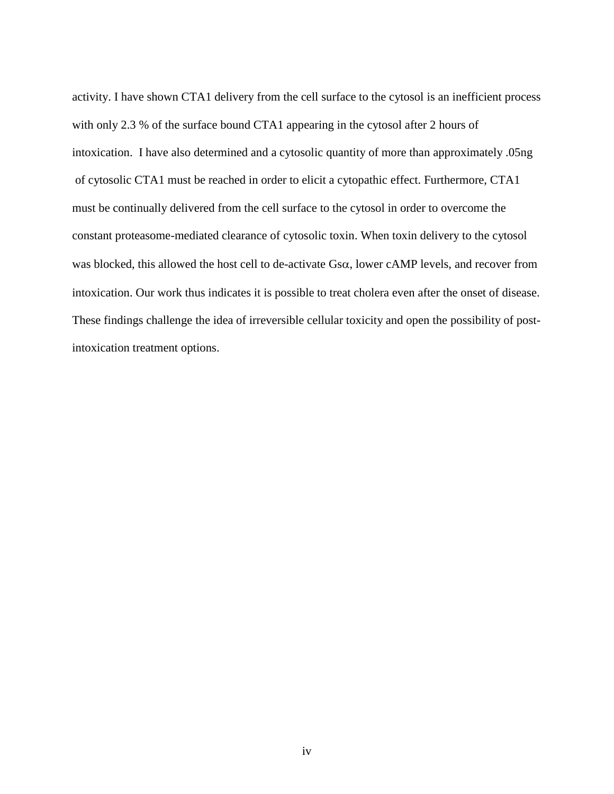activity. I have shown CTA1 delivery from the cell surface to the cytosol is an inefficient process with only 2.3 % of the surface bound CTA1 appearing in the cytosol after 2 hours of intoxication. I have also determined and a cytosolic quantity of more than approximately .05ng of cytosolic CTA1 must be reached in order to elicit a cytopathic effect. Furthermore, CTA1 must be continually delivered from the cell surface to the cytosol in order to overcome the constant proteasome-mediated clearance of cytosolic toxin. When toxin delivery to the cytosol was blocked, this allowed the host cell to de-activate  $Gs\alpha$ , lower cAMP levels, and recover from intoxication. Our work thus indicates it is possible to treat cholera even after the onset of disease. These findings challenge the idea of irreversible cellular toxicity and open the possibility of postintoxication treatment options.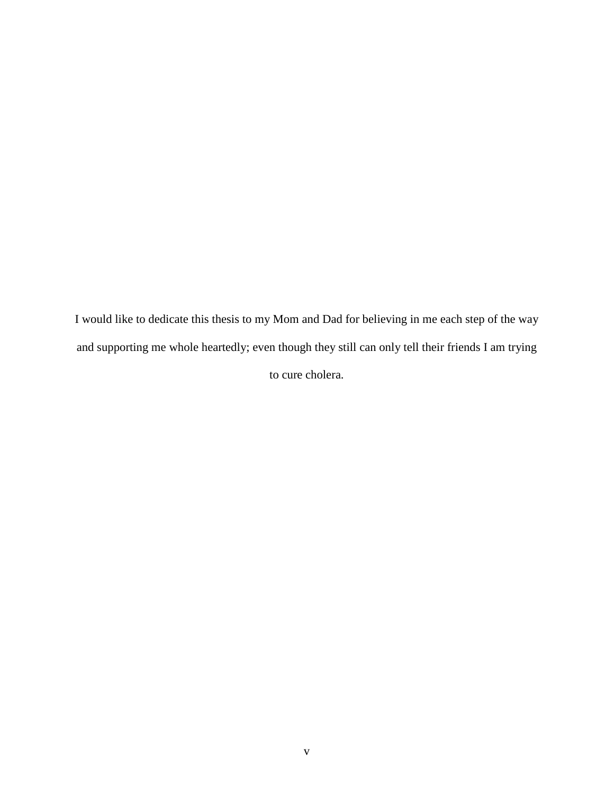I would like to dedicate this thesis to my Mom and Dad for believing in me each step of the way and supporting me whole heartedly; even though they still can only tell their friends I am trying to cure cholera.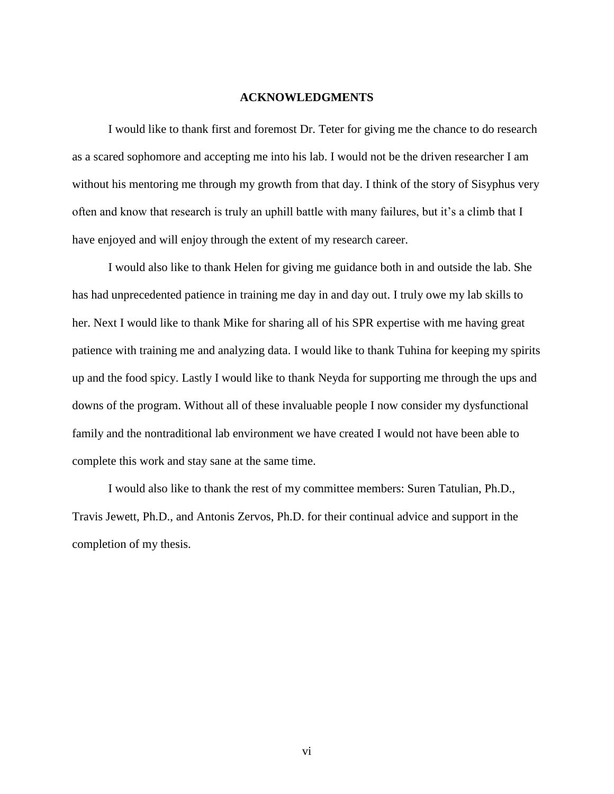#### **ACKNOWLEDGMENTS**

I would like to thank first and foremost Dr. Teter for giving me the chance to do research as a scared sophomore and accepting me into his lab. I would not be the driven researcher I am without his mentoring me through my growth from that day. I think of the story of Sisyphus very often and know that research is truly an uphill battle with many failures, but it's a climb that I have enjoyed and will enjoy through the extent of my research career.

I would also like to thank Helen for giving me guidance both in and outside the lab. She has had unprecedented patience in training me day in and day out. I truly owe my lab skills to her. Next I would like to thank Mike for sharing all of his SPR expertise with me having great patience with training me and analyzing data. I would like to thank Tuhina for keeping my spirits up and the food spicy. Lastly I would like to thank Neyda for supporting me through the ups and downs of the program. Without all of these invaluable people I now consider my dysfunctional family and the nontraditional lab environment we have created I would not have been able to complete this work and stay sane at the same time.

I would also like to thank the rest of my committee members: Suren Tatulian, Ph.D., Travis Jewett, Ph.D., and Antonis Zervos, Ph.D. for their continual advice and support in the completion of my thesis.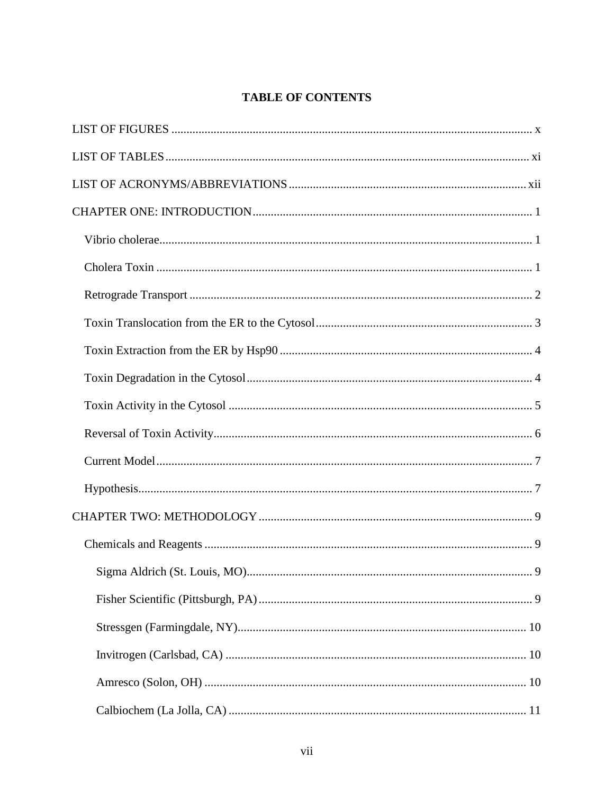# **TABLE OF CONTENTS**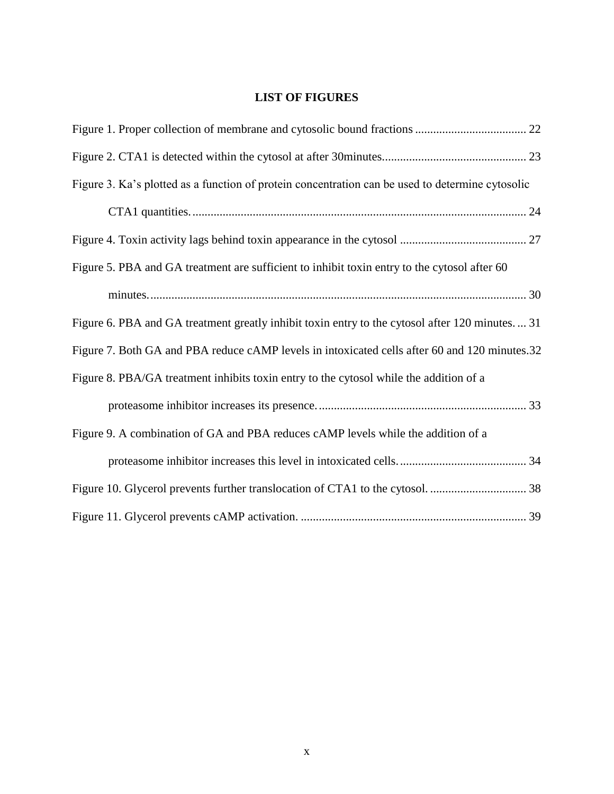# **LIST OF FIGURES**

<span id="page-10-0"></span>

| Figure 3. Ka's plotted as a function of protein concentration can be used to determine cytosolic |
|--------------------------------------------------------------------------------------------------|
|                                                                                                  |
|                                                                                                  |
| Figure 5. PBA and GA treatment are sufficient to inhibit toxin entry to the cytosol after 60     |
|                                                                                                  |
| Figure 6. PBA and GA treatment greatly inhibit toxin entry to the cytosol after 120 minutes 31   |
| Figure 7. Both GA and PBA reduce cAMP levels in intoxicated cells after 60 and 120 minutes.32    |
| Figure 8. PBA/GA treatment inhibits toxin entry to the cytosol while the addition of a           |
|                                                                                                  |
| Figure 9. A combination of GA and PBA reduces cAMP levels while the addition of a                |
|                                                                                                  |
|                                                                                                  |
|                                                                                                  |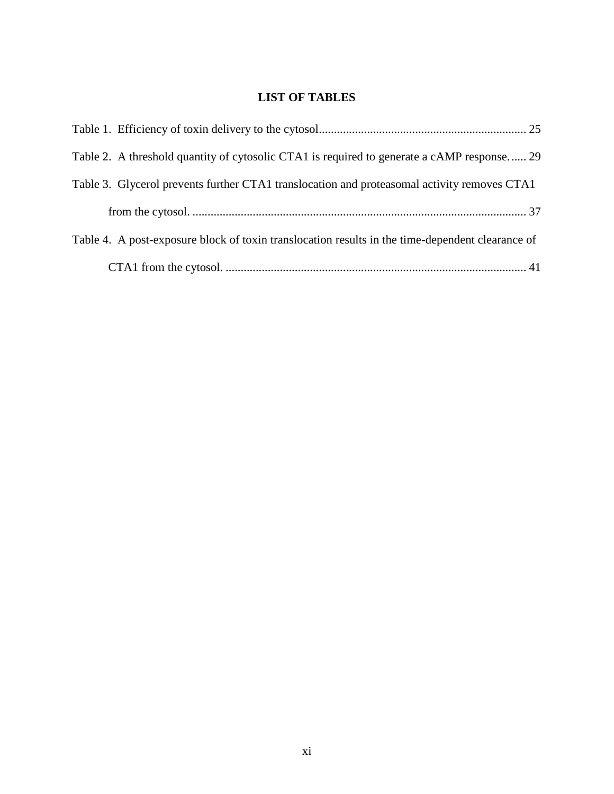# **LIST OF TABLES**

<span id="page-11-0"></span>

| Table 2. A threshold quantity of cytosolic CTA1 is required to generate a cAMP response 29       |  |
|--------------------------------------------------------------------------------------------------|--|
| Table 3. Glycerol prevents further CTA1 translocation and proteasomal activity removes CTA1      |  |
|                                                                                                  |  |
| Table 4. A post-exposure block of toxin translocation results in the time-dependent clearance of |  |
|                                                                                                  |  |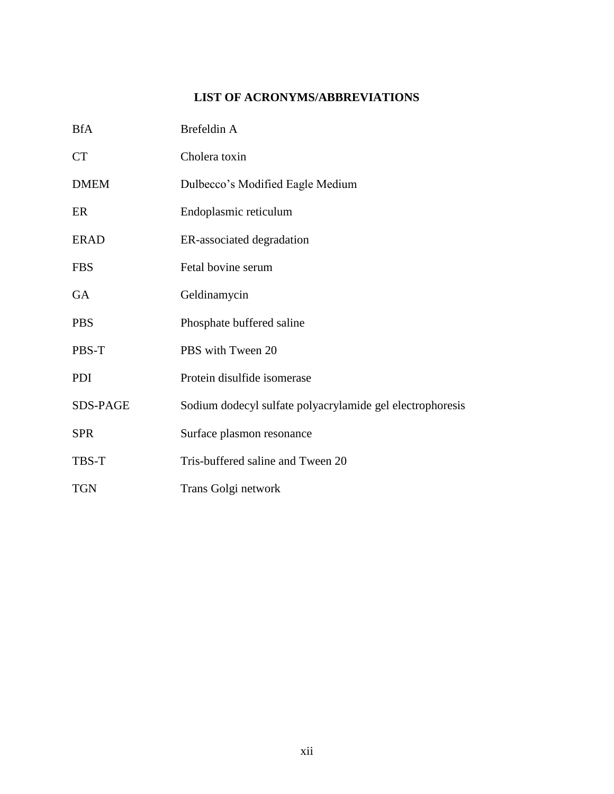# **LIST OF ACRONYMS/ABBREVIATIONS**

<span id="page-12-0"></span>

| <b>BfA</b>  | Brefeldin A                                               |
|-------------|-----------------------------------------------------------|
| <b>CT</b>   | Cholera toxin                                             |
| <b>DMEM</b> | Dulbecco's Modified Eagle Medium                          |
| ER          | Endoplasmic reticulum                                     |
| <b>ERAD</b> | ER-associated degradation                                 |
| <b>FBS</b>  | Fetal bovine serum                                        |
| <b>GA</b>   | Geldinamycin                                              |
| <b>PBS</b>  | Phosphate buffered saline                                 |
| PBS-T       | PBS with Tween 20                                         |
| <b>PDI</b>  | Protein disulfide isomerase                               |
| SDS-PAGE    | Sodium dodecyl sulfate polyacrylamide gel electrophoresis |
| <b>SPR</b>  | Surface plasmon resonance                                 |
| TBS-T       | Tris-buffered saline and Tween 20                         |
| <b>TGN</b>  | Trans Golgi network                                       |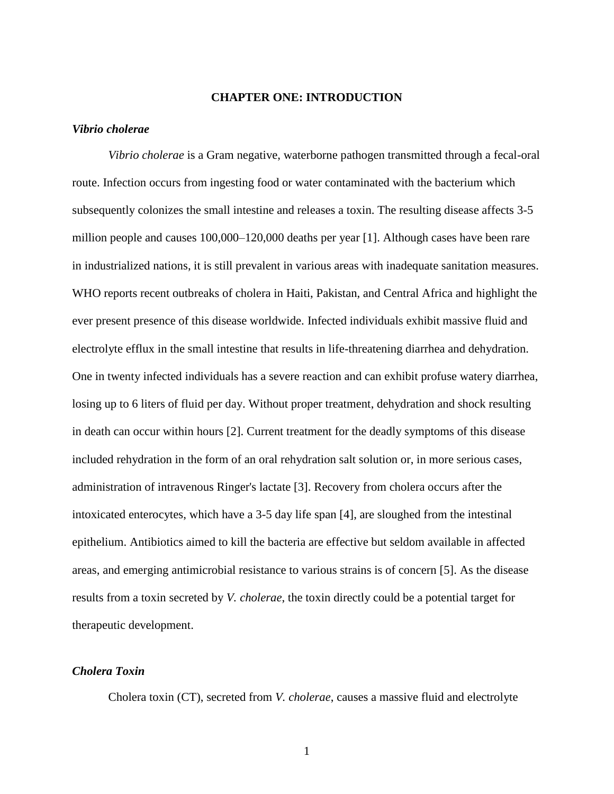#### **CHAPTER ONE: INTRODUCTION**

#### <span id="page-13-1"></span><span id="page-13-0"></span>*Vibrio cholerae*

*Vibrio cholerae* is a Gram negative, waterborne pathogen transmitted through a fecal-oral route. Infection occurs from ingesting food or water contaminated with the bacterium which subsequently colonizes the small intestine and releases a toxin. The resulting disease affects 3-5 million people and causes 100,000–120,000 deaths per year [1]. Although cases have been rare in industrialized nations, it is still prevalent in various areas with inadequate sanitation measures. WHO reports recent outbreaks of cholera in Haiti, Pakistan, and Central Africa and highlight the ever present presence of this disease worldwide. Infected individuals exhibit massive fluid and electrolyte efflux in the small intestine that results in life-threatening diarrhea and dehydration. One in twenty infected individuals has a severe reaction and can exhibit profuse watery diarrhea, losing up to 6 liters of fluid per day. Without proper treatment, dehydration and shock resulting in death can occur within hours [2]. Current treatment for the deadly symptoms of this disease included rehydration in the form of an oral rehydration salt solution or, in more serious cases, administration of intravenous Ringer's lactate [3]. Recovery from cholera occurs after the intoxicated enterocytes, which have a 3-5 day life span [4], are sloughed from the intestinal epithelium. Antibiotics aimed to kill the bacteria are effective but seldom available in affected areas, and emerging antimicrobial resistance to various strains is of concern [5]. As the disease results from a toxin secreted by *V. cholerae*, the toxin directly could be a potential target for therapeutic development.

#### <span id="page-13-2"></span>*Cholera Toxin*

Cholera toxin (CT), secreted from *V. cholerae*, causes a massive fluid and electrolyte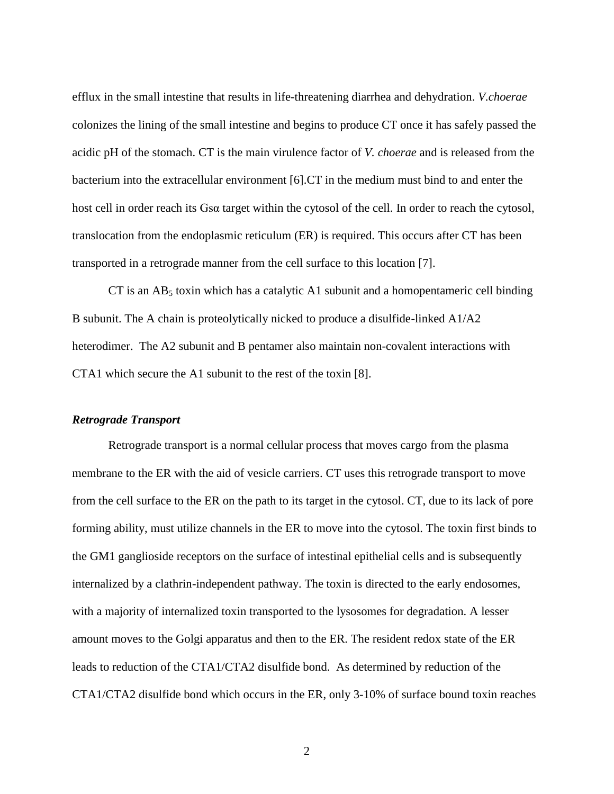efflux in the small intestine that results in life-threatening diarrhea and dehydration. *V.choerae* colonizes the lining of the small intestine and begins to produce CT once it has safely passed the acidic pH of the stomach. CT is the main virulence factor of *V. choerae* and is released from the bacterium into the extracellular environment [6].CT in the medium must bind to and enter the host cell in order reach its Gsα target within the cytosol of the cell. In order to reach the cytosol, translocation from the endoplasmic reticulum (ER) is required. This occurs after CT has been transported in a retrograde manner from the cell surface to this location [7].

CT is an  $AB_5$  toxin which has a catalytic A1 subunit and a homopentameric cell binding B subunit. The A chain is proteolytically nicked to produce a disulfide-linked A1/A2 heterodimer. The A2 subunit and B pentamer also maintain non-covalent interactions with CTA1 which secure the A1 subunit to the rest of the toxin [8].

#### <span id="page-14-0"></span>*Retrograde Transport*

Retrograde transport is a normal cellular process that moves cargo from the plasma membrane to the ER with the aid of vesicle carriers. CT uses this retrograde transport to move from the cell surface to the ER on the path to its target in the cytosol. CT, due to its lack of pore forming ability, must utilize channels in the ER to move into the cytosol. The toxin first binds to the GM1 ganglioside receptors on the surface of intestinal epithelial cells and is subsequently internalized by a clathrin-independent pathway. The toxin is directed to the early endosomes, with a majority of internalized toxin transported to the lysosomes for degradation. A lesser amount moves to the Golgi apparatus and then to the ER. The resident redox state of the ER leads to reduction of the CTA1/CTA2 disulfide bond. As determined by reduction of the CTA1/CTA2 disulfide bond which occurs in the ER, only 3-10% of surface bound toxin reaches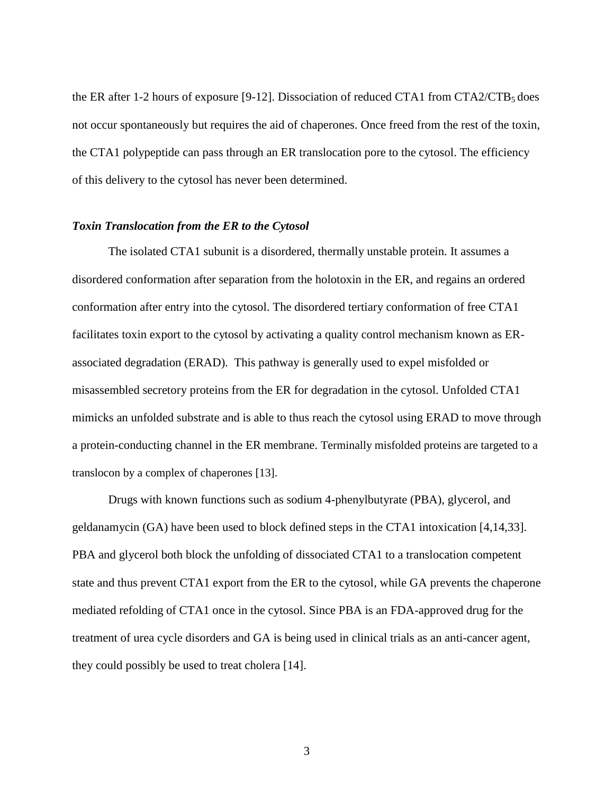the ER after 1-2 hours of exposure [9-12]. Dissociation of reduced CTA1 from  $CTA2/CTB_5$  does not occur spontaneously but requires the aid of chaperones. Once freed from the rest of the toxin, the CTA1 polypeptide can pass through an ER translocation pore to the cytosol. The efficiency of this delivery to the cytosol has never been determined.

#### <span id="page-15-0"></span>*Toxin Translocation from the ER to the Cytosol*

The isolated CTA1 subunit is a disordered, thermally unstable protein. It assumes a disordered conformation after separation from the holotoxin in the ER, and regains an ordered conformation after entry into the cytosol. The disordered tertiary conformation of free CTA1 facilitates toxin export to the cytosol by activating a quality control mechanism known as ERassociated degradation (ERAD). This pathway is generally used to expel misfolded or misassembled secretory proteins from the ER for degradation in the cytosol. Unfolded CTA1 mimicks an unfolded substrate and is able to thus reach the cytosol using ERAD to move through a protein-conducting channel in the ER membrane. Terminally misfolded proteins are targeted to a translocon by a complex of chaperones [13].

Drugs with known functions such as sodium 4-phenylbutyrate (PBA), glycerol, and geldanamycin (GA) have been used to block defined steps in the CTA1 intoxication [4,14,33]. PBA and glycerol both block the unfolding of dissociated CTA1 to a translocation competent state and thus prevent CTA1 export from the ER to the cytosol, while GA prevents the chaperone mediated refolding of CTA1 once in the cytosol. Since PBA is an FDA-approved drug for the treatment of urea cycle disorders and GA is being used in clinical trials as an anti-cancer agent, they could possibly be used to treat cholera [14].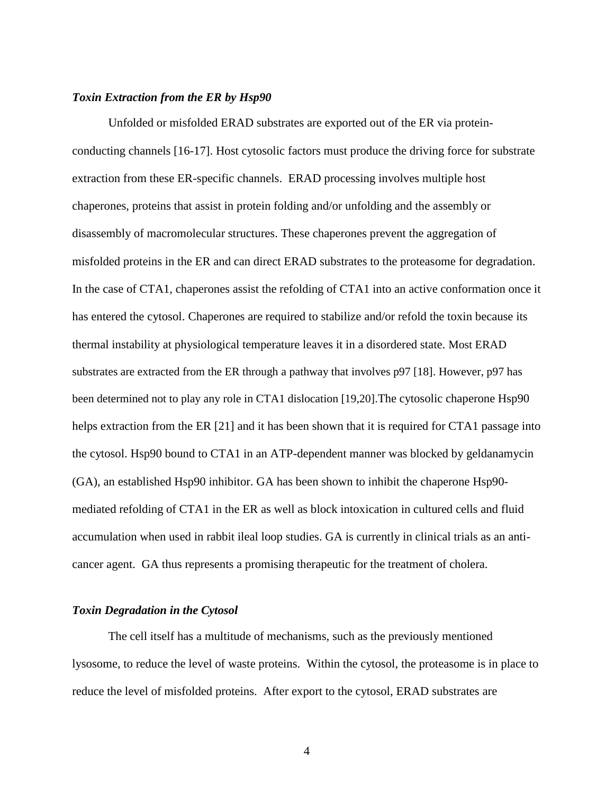#### <span id="page-16-0"></span>*Toxin Extraction from the ER by Hsp90*

Unfolded or misfolded ERAD substrates are exported out of the ER via proteinconducting channels [16-17]. Host cytosolic factors must produce the driving force for substrate extraction from these ER-specific channels. ERAD processing involves multiple host chaperones, proteins that assist in protein folding and/or unfolding and the assembly or disassembly of macromolecular structures. These chaperones prevent the aggregation of misfolded proteins in the ER and can direct ERAD substrates to the proteasome for degradation. In the case of CTA1, chaperones assist the refolding of CTA1 into an active conformation once it has entered the cytosol. Chaperones are required to stabilize and/or refold the toxin because its thermal instability at physiological temperature leaves it in a disordered state. Most ERAD substrates are extracted from the ER through a pathway that involves p97 [18]. However, p97 has been determined not to play any role in CTA1 dislocation [19,20].The cytosolic chaperone Hsp90 helps extraction from the ER [21] and it has been shown that it is required for CTA1 passage into the cytosol. Hsp90 bound to CTA1 in an ATP-dependent manner was blocked by geldanamycin (GA), an established Hsp90 inhibitor. GA has been shown to inhibit the chaperone Hsp90 mediated refolding of CTA1 in the ER as well as block intoxication in cultured cells and fluid accumulation when used in rabbit ileal loop studies. GA is currently in clinical trials as an anticancer agent. GA thus represents a promising therapeutic for the treatment of cholera.

#### <span id="page-16-1"></span>*Toxin Degradation in the Cytosol*

The cell itself has a multitude of mechanisms, such as the previously mentioned lysosome, to reduce the level of waste proteins. Within the cytosol, the proteasome is in place to reduce the level of misfolded proteins. After export to the cytosol, ERAD substrates are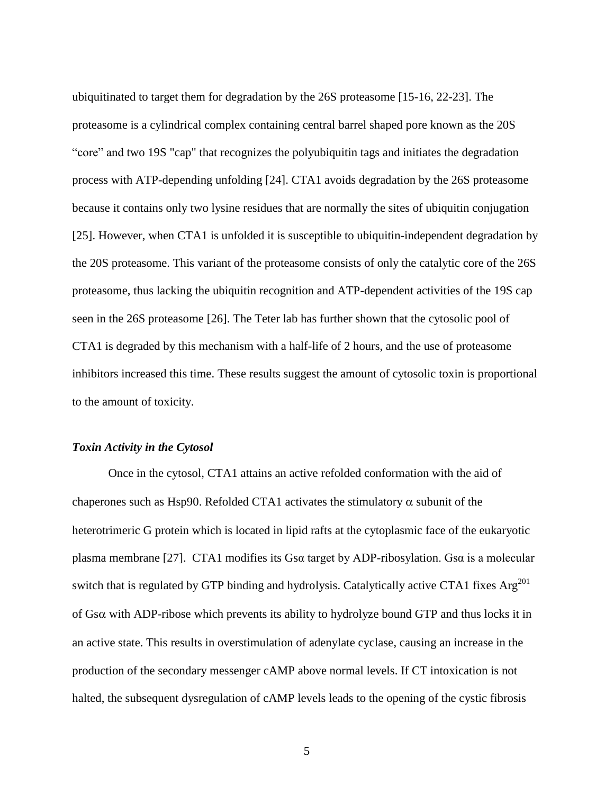ubiquitinated to target them for degradation by the 26S proteasome [15-16, 22-23]. The proteasome is a cylindrical complex containing central barrel shaped pore known as the 20S "core" and two 19S "cap" that recognizes the polyubiquitin tags and initiates the degradation process with ATP-depending unfolding [24]. CTA1 avoids degradation by the 26S proteasome because it contains only two lysine residues that are normally the sites of ubiquitin conjugation [25]. However, when CTA1 is unfolded it is susceptible to ubiquitin-independent degradation by the 20S proteasome. This variant of the proteasome consists of only the catalytic core of the 26S proteasome, thus lacking the ubiquitin recognition and ATP-dependent activities of the 19S cap seen in the 26S proteasome [26]. The Teter lab has further shown that the cytosolic pool of CTA1 is degraded by this mechanism with a half-life of 2 hours, and the use of proteasome inhibitors increased this time. These results suggest the amount of cytosolic toxin is proportional to the amount of toxicity.

#### <span id="page-17-0"></span>*Toxin Activity in the Cytosol*

Once in the cytosol, CTA1 attains an active refolded conformation with the aid of chaperones such as Hsp90. Refolded CTA1 activates the stimulatory  $\alpha$  subunit of the heterotrimeric G protein which is located in lipid rafts at the cytoplasmic face of the eukaryotic plasma membrane [27]. CTA1 modifies its Gsα target by ADP-ribosylation. Gsα is a molecular switch that is regulated by GTP binding and hydrolysis. Catalytically active CTA1 fixes  $Arg^{201}$ of  $Gs\alpha$  with ADP-ribose which prevents its ability to hydrolyze bound GTP and thus locks it in an active state. This results in overstimulation of adenylate cyclase, causing an increase in the production of the secondary messenger cAMP above normal levels. If CT intoxication is not halted, the subsequent dysregulation of cAMP levels leads to the opening of the cystic fibrosis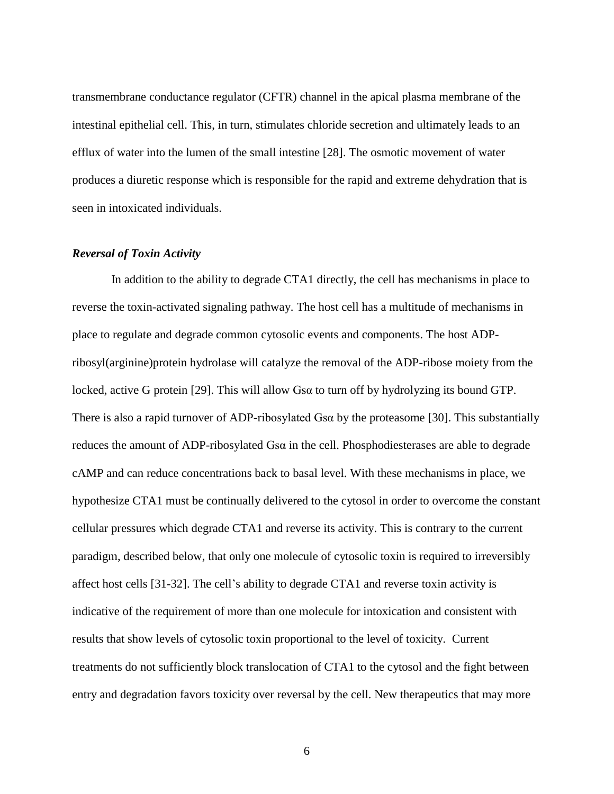transmembrane conductance regulator (CFTR) channel in the apical plasma membrane of the intestinal epithelial cell. This, in turn, stimulates chloride secretion and ultimately leads to an efflux of water into the lumen of the small intestine [28]. The osmotic movement of water produces a diuretic response which is responsible for the rapid and extreme dehydration that is seen in intoxicated individuals.

#### <span id="page-18-0"></span>*Reversal of Toxin Activity*

In addition to the ability to degrade CTA1 directly, the cell has mechanisms in place to reverse the toxin-activated signaling pathway. The host cell has a multitude of mechanisms in place to regulate and degrade common cytosolic events and components. The host ADPribosyl(arginine)protein hydrolase will catalyze the removal of the ADP-ribose moiety from the locked, active G protein [29]. This will allow Gsα to turn off by hydrolyzing its bound GTP. There is also a rapid turnover of ADP-ribosylated  $Gs\alpha$  by the proteasome [30]. This substantially reduces the amount of ADP-ribosylated Gsα in the cell. Phosphodiesterases are able to degrade cAMP and can reduce concentrations back to basal level. With these mechanisms in place, we hypothesize CTA1 must be continually delivered to the cytosol in order to overcome the constant cellular pressures which degrade CTA1 and reverse its activity. This is contrary to the current paradigm, described below, that only one molecule of cytosolic toxin is required to irreversibly affect host cells [31-32]. The cell's ability to degrade CTA1 and reverse toxin activity is indicative of the requirement of more than one molecule for intoxication and consistent with results that show levels of cytosolic toxin proportional to the level of toxicity. Current treatments do not sufficiently block translocation of CTA1 to the cytosol and the fight between entry and degradation favors toxicity over reversal by the cell. New therapeutics that may more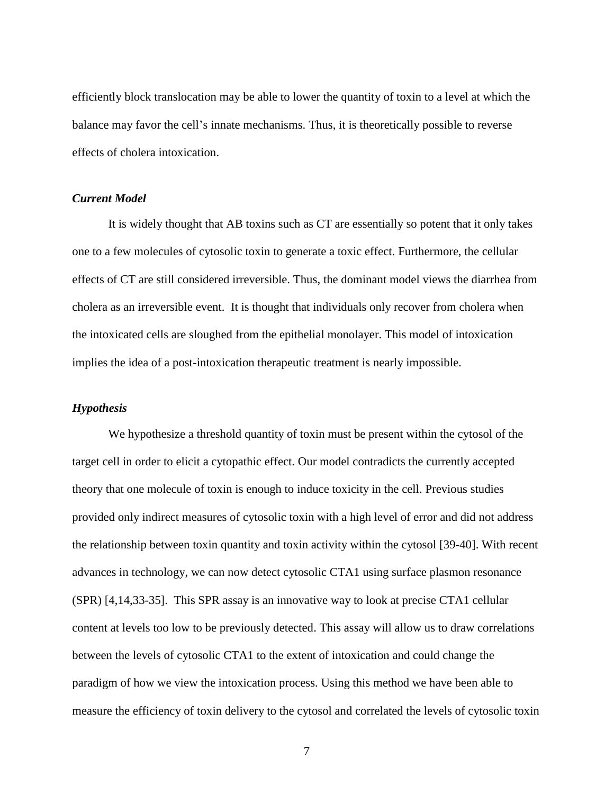efficiently block translocation may be able to lower the quantity of toxin to a level at which the balance may favor the cell's innate mechanisms. Thus, it is theoretically possible to reverse effects of cholera intoxication.

#### <span id="page-19-0"></span>*Current Model*

It is widely thought that AB toxins such as CT are essentially so potent that it only takes one to a few molecules of cytosolic toxin to generate a toxic effect. Furthermore, the cellular effects of CT are still considered irreversible. Thus, the dominant model views the diarrhea from cholera as an irreversible event. It is thought that individuals only recover from cholera when the intoxicated cells are sloughed from the epithelial monolayer. This model of intoxication implies the idea of a post-intoxication therapeutic treatment is nearly impossible.

#### <span id="page-19-1"></span>*Hypothesis*

We hypothesize a threshold quantity of toxin must be present within the cytosol of the target cell in order to elicit a cytopathic effect. Our model contradicts the currently accepted theory that one molecule of toxin is enough to induce toxicity in the cell. Previous studies provided only indirect measures of cytosolic toxin with a high level of error and did not address the relationship between toxin quantity and toxin activity within the cytosol [39-40]. With recent advances in technology, we can now detect cytosolic CTA1 using surface plasmon resonance (SPR) [4,14,33-35]. This SPR assay is an innovative way to look at precise CTA1 cellular content at levels too low to be previously detected. This assay will allow us to draw correlations between the levels of cytosolic CTA1 to the extent of intoxication and could change the paradigm of how we view the intoxication process. Using this method we have been able to measure the efficiency of toxin delivery to the cytosol and correlated the levels of cytosolic toxin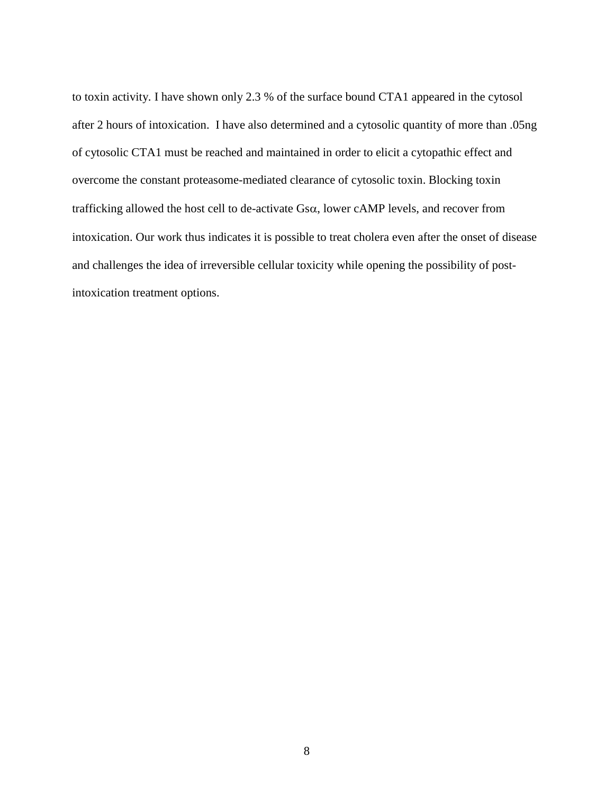to toxin activity. I have shown only 2.3 % of the surface bound CTA1 appeared in the cytosol after 2 hours of intoxication. I have also determined and a cytosolic quantity of more than .05ng of cytosolic CTA1 must be reached and maintained in order to elicit a cytopathic effect and overcome the constant proteasome-mediated clearance of cytosolic toxin. Blocking toxin trafficking allowed the host cell to de-activate  $Gs\alpha$ , lower cAMP levels, and recover from intoxication. Our work thus indicates it is possible to treat cholera even after the onset of disease and challenges the idea of irreversible cellular toxicity while opening the possibility of postintoxication treatment options.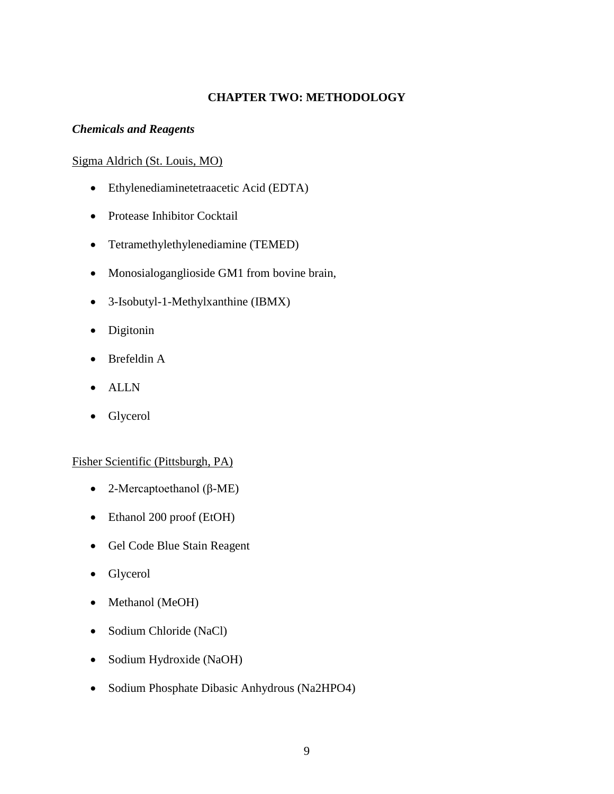### **CHAPTER TWO: METHODOLOGY**

#### <span id="page-21-1"></span><span id="page-21-0"></span>*Chemicals and Reagents*

#### <span id="page-21-2"></span>Sigma Aldrich (St. Louis, MO)

- Ethylenediaminetetraacetic Acid (EDTA)
- Protease Inhibitor Cocktail
- Tetramethylethylenediamine (TEMED)
- Monosialoganglioside GM1 from bovine brain,
- 3-Isobutyl-1-Methylxanthine (IBMX)
- Digitonin
- Brefeldin A
- ALLN
- Glycerol

#### <span id="page-21-3"></span>Fisher Scientific (Pittsburgh, PA)

- 2-Mercaptoethanol (β-ME)
- Ethanol 200 proof (EtOH)
- Gel Code Blue Stain Reagent
- Glycerol
- Methanol (MeOH)
- Sodium Chloride (NaCl)
- Sodium Hydroxide (NaOH)
- Sodium Phosphate Dibasic Anhydrous (Na2HPO4)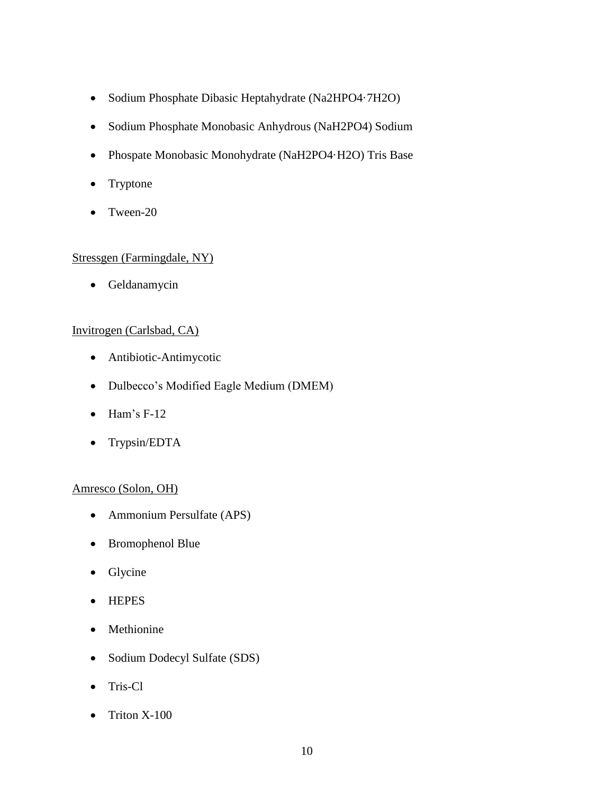- Sodium Phosphate Dibasic Heptahydrate (Na2HPO4·7H2O)
- Sodium Phosphate Monobasic Anhydrous (NaH2PO4) Sodium
- Phospate Monobasic Monohydrate (NaH2PO4·H2O) Tris Base
- Tryptone
- Tween-20

### <span id="page-22-0"></span>Stressgen (Farmingdale, NY)

• Geldanamycin

### <span id="page-22-1"></span>Invitrogen (Carlsbad, CA)

- Antibiotic-Antimycotic
- Dulbecco's Modified Eagle Medium (DMEM)
- $\bullet$  Ham's F-12
- Trypsin/EDTA

#### <span id="page-22-2"></span>Amresco (Solon, OH)

- Ammonium Persulfate (APS)
- Bromophenol Blue
- Glycine
- HEPES
- Methionine
- Sodium Dodecyl Sulfate (SDS)
- Tris-Cl
- Triton X-100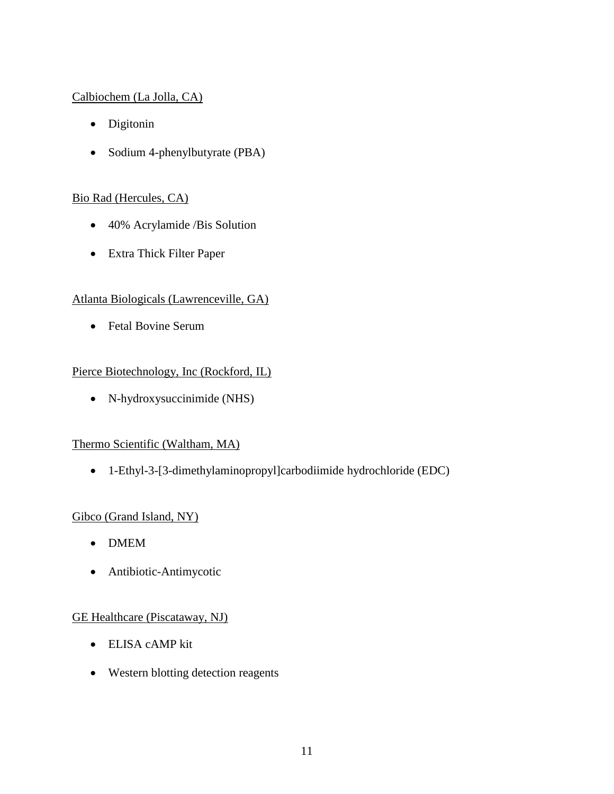# <span id="page-23-0"></span>Calbiochem (La Jolla, CA)

- Digitonin
- Sodium 4-phenylbutyrate (PBA)

# <span id="page-23-1"></span>Bio Rad (Hercules, CA)

- 40% Acrylamide /Bis Solution
- Extra Thick Filter Paper

# <span id="page-23-2"></span>Atlanta Biologicals (Lawrenceville, GA)

• Fetal Bovine Serum

### <span id="page-23-3"></span>Pierce Biotechnology, Inc (Rockford, IL)

N-hydroxysuccinimide (NHS)

### <span id="page-23-4"></span>Thermo Scientific (Waltham, MA)

1-Ethyl-3-[3-dimethylaminopropyl]carbodiimide hydrochloride (EDC)

# <span id="page-23-5"></span>Gibco (Grand Island, NY)

- DMEM
- Antibiotic-Antimycotic

### <span id="page-23-6"></span>GE Healthcare (Piscataway, NJ)

- ELISA cAMP kit
- Western blotting detection reagents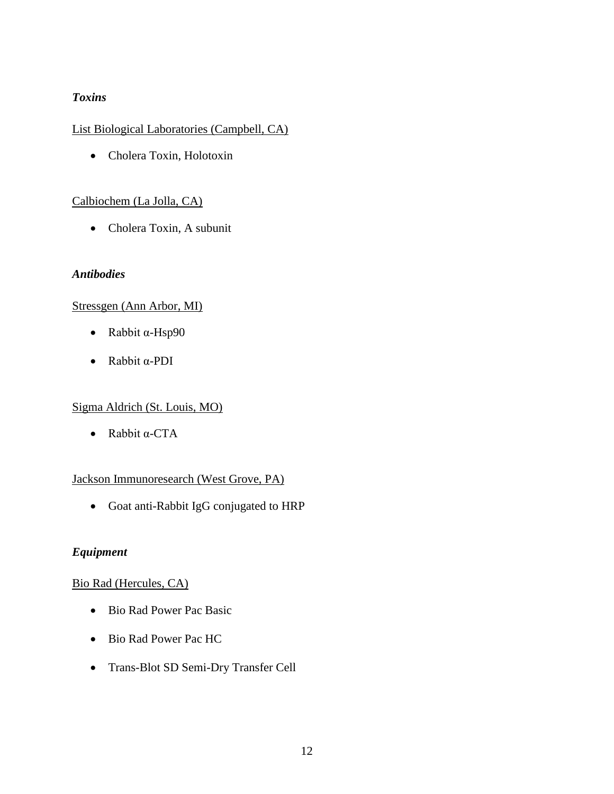### <span id="page-24-0"></span>*Toxins*

# <span id="page-24-1"></span>List Biological Laboratories (Campbell, CA)

Cholera Toxin, Holotoxin

### <span id="page-24-2"></span>Calbiochem (La Jolla, CA)

Cholera Toxin, A subunit

### <span id="page-24-3"></span>*Antibodies*

### <span id="page-24-4"></span>Stressgen (Ann Arbor, MI)

- Rabbit α-Hsp90
- Rabbit α-PDI

### <span id="page-24-5"></span>Sigma Aldrich (St. Louis, MO)

• Rabbit α-CTA

### <span id="page-24-6"></span>Jackson Immunoresearch (West Grove, PA)

Goat anti-Rabbit IgG conjugated to HRP

### <span id="page-24-7"></span>*Equipment*

### <span id="page-24-8"></span>Bio Rad (Hercules, CA)

- Bio Rad Power Pac Basic
- Bio Rad Power Pac HC
- Trans-Blot SD Semi-Dry Transfer Cell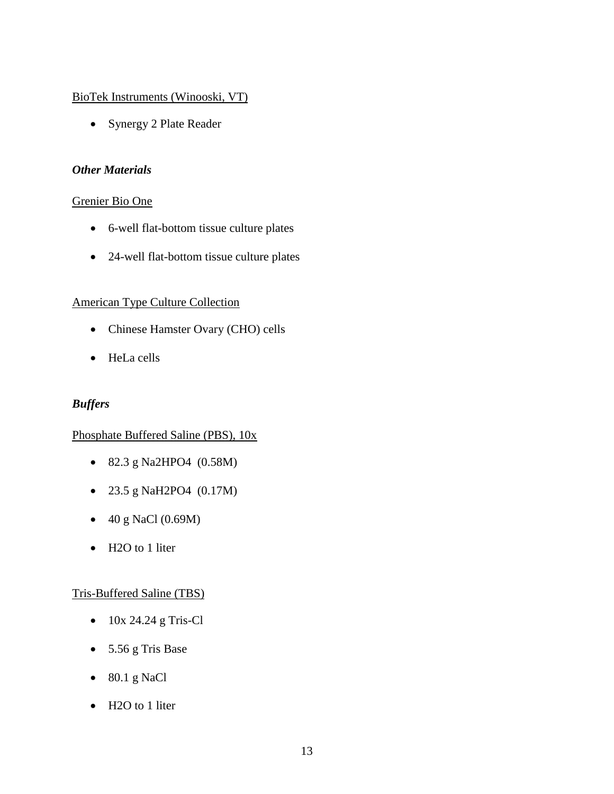### <span id="page-25-0"></span>BioTek Instruments (Winooski, VT)

• Synergy 2 Plate Reader

### <span id="page-25-1"></span>*Other Materials*

### <span id="page-25-2"></span>Grenier Bio One

- 6-well flat-bottom tissue culture plates
- 24-well flat-bottom tissue culture plates

### <span id="page-25-3"></span>American Type Culture Collection

- Chinese Hamster Ovary (CHO) cells
- HeLa cells

### <span id="page-25-4"></span>*Buffers*

### <span id="page-25-5"></span>Phosphate Buffered Saline (PBS), 10x

- 82.3 g Na2HPO4 (0.58M)
- 23.5 g NaH2PO4 (0.17M)
- 40 g NaCl (0.69M)
- H2O to 1 liter

### <span id="page-25-6"></span>Tris-Buffered Saline (TBS)

- 10x 24.24 g Tris-Cl
- 5.56 g Tris Base
- $\bullet$  80.1 g NaCl
- H2O to 1 liter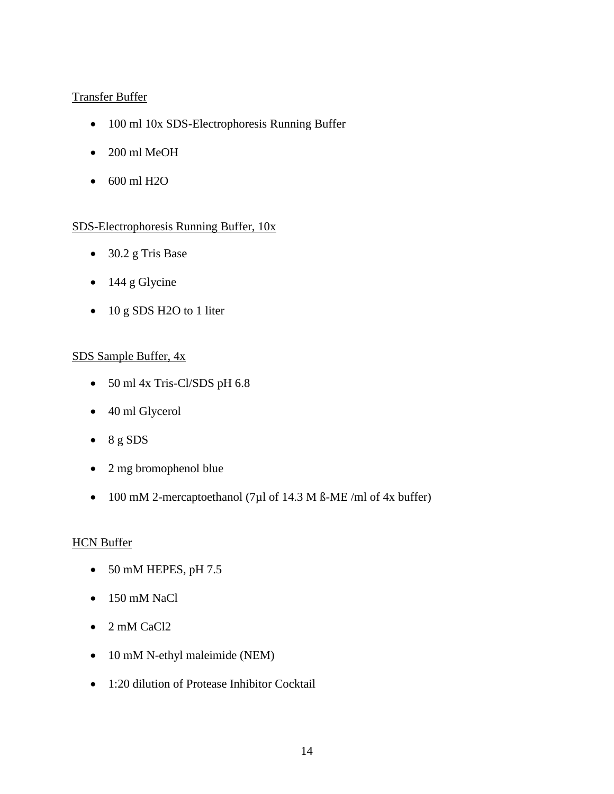# <span id="page-26-0"></span>Transfer Buffer

- 100 ml 10x SDS-Electrophoresis Running Buffer
- 200 ml MeOH
- 600 ml H2O

### <span id="page-26-1"></span>SDS-Electrophoresis Running Buffer, 10x

- 30.2 g Tris Base
- $\bullet$  144 g Glycine
- 10 g SDS H2O to 1 liter

### <span id="page-26-2"></span>SDS Sample Buffer, 4x

- 50 ml 4x Tris-Cl/SDS pH 6.8
- 40 ml Glycerol
- $\bullet$  8 g SDS
- 2 mg bromophenol blue
- 100 mM 2-mercaptoethanol (7 $\mu$ l of 14.3 M ß-ME/ml of 4x buffer)

### <span id="page-26-3"></span>**HCN Buffer**

- $\bullet$  50 mM HEPES, pH 7.5
- 150 mM NaCl
- 2 mM CaCl2
- 10 mM N-ethyl maleimide (NEM)
- 1:20 dilution of Protease Inhibitor Cocktail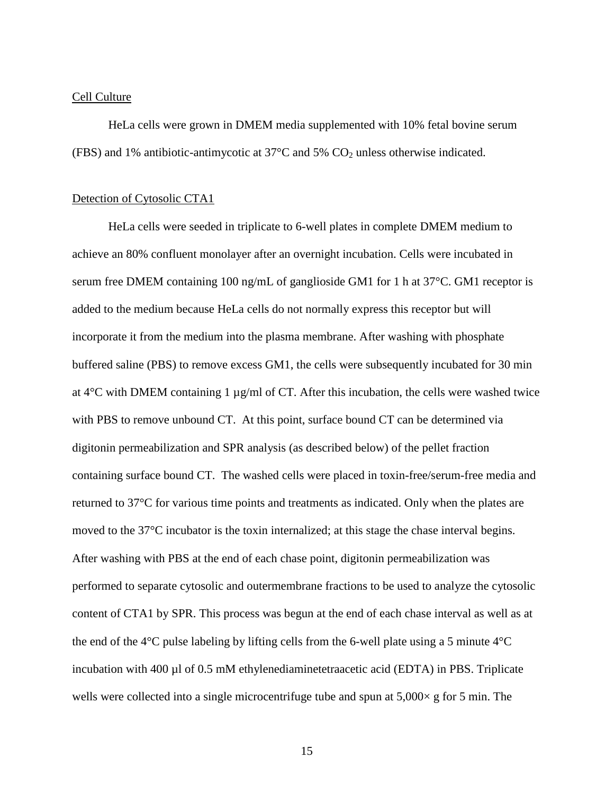#### <span id="page-27-0"></span>Cell Culture

HeLa cells were grown in DMEM media supplemented with 10% fetal bovine serum (FBS) and 1% antibiotic-antimycotic at  $37^{\circ}$ C and 5% CO<sub>2</sub> unless otherwise indicated.

#### <span id="page-27-1"></span>Detection of Cytosolic CTA1

HeLa cells were seeded in triplicate to 6-well plates in complete DMEM medium to achieve an 80% confluent monolayer after an overnight incubation. Cells were incubated in serum free DMEM containing 100 ng/mL of ganglioside GM1 for 1 h at 37°C. GM1 receptor is added to the medium because HeLa cells do not normally express this receptor but will incorporate it from the medium into the plasma membrane. After washing with phosphate buffered saline (PBS) to remove excess GM1, the cells were subsequently incubated for 30 min at 4°C with DMEM containing 1 µg/ml of CT. After this incubation, the cells were washed twice with PBS to remove unbound CT. At this point, surface bound CT can be determined via digitonin permeabilization and SPR analysis (as described below) of the pellet fraction containing surface bound CT. The washed cells were placed in toxin-free/serum-free media and returned to 37°C for various time points and treatments as indicated. Only when the plates are moved to the 37°C incubator is the toxin internalized; at this stage the chase interval begins. After washing with PBS at the end of each chase point, digitonin permeabilization was performed to separate cytosolic and outermembrane fractions to be used to analyze the cytosolic content of CTA1 by SPR. This process was begun at the end of each chase interval as well as at the end of the  $4^{\circ}$ C pulse labeling by lifting cells from the 6-well plate using a 5 minute  $4^{\circ}$ C incubation with 400 µl of 0.5 mM ethylenediaminetetraacetic acid (EDTA) in PBS. Triplicate wells were collected into a single microcentrifuge tube and spun at  $5,000 \times g$  for 5 min. The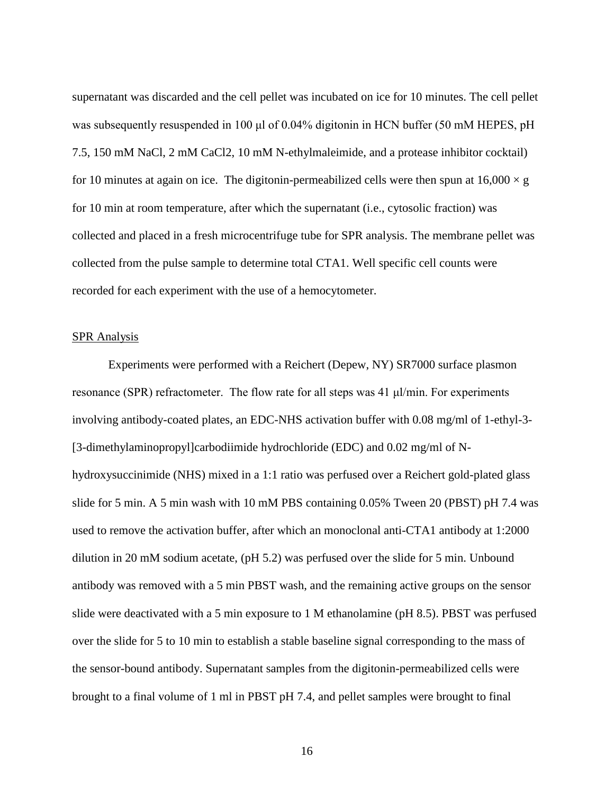supernatant was discarded and the cell pellet was incubated on ice for 10 minutes. The cell pellet was subsequently resuspended in 100 μl of 0.04% digitonin in HCN buffer (50 mM HEPES, pH 7.5, 150 mM NaCl, 2 mM CaCl2, 10 mM N-ethylmaleimide, and a protease inhibitor cocktail) for 10 minutes at again on ice. The digitonin-permeabilized cells were then spun at  $16,000 \times g$ for 10 min at room temperature, after which the supernatant (i.e., cytosolic fraction) was collected and placed in a fresh microcentrifuge tube for SPR analysis. The membrane pellet was collected from the pulse sample to determine total CTA1. Well specific cell counts were recorded for each experiment with the use of a hemocytometer.

#### <span id="page-28-0"></span>SPR Analysis

Experiments were performed with a Reichert (Depew, NY) SR7000 surface plasmon resonance (SPR) refractometer. The flow rate for all steps was 41 μl/min. For experiments involving antibody-coated plates, an EDC-NHS activation buffer with 0.08 mg/ml of 1-ethyl-3- [3-dimethylaminopropyl]carbodiimide hydrochloride (EDC) and 0.02 mg/ml of Nhydroxysuccinimide (NHS) mixed in a 1:1 ratio was perfused over a Reichert gold-plated glass slide for 5 min. A 5 min wash with 10 mM PBS containing 0.05% Tween 20 (PBST) pH 7.4 was used to remove the activation buffer, after which an monoclonal anti-CTA1 antibody at 1:2000 dilution in 20 mM sodium acetate, (pH 5.2) was perfused over the slide for 5 min. Unbound antibody was removed with a 5 min PBST wash, and the remaining active groups on the sensor slide were deactivated with a 5 min exposure to 1 M ethanolamine (pH 8.5). PBST was perfused over the slide for 5 to 10 min to establish a stable baseline signal corresponding to the mass of the sensor-bound antibody. Supernatant samples from the digitonin-permeabilized cells were brought to a final volume of 1 ml in PBST pH 7.4, and pellet samples were brought to final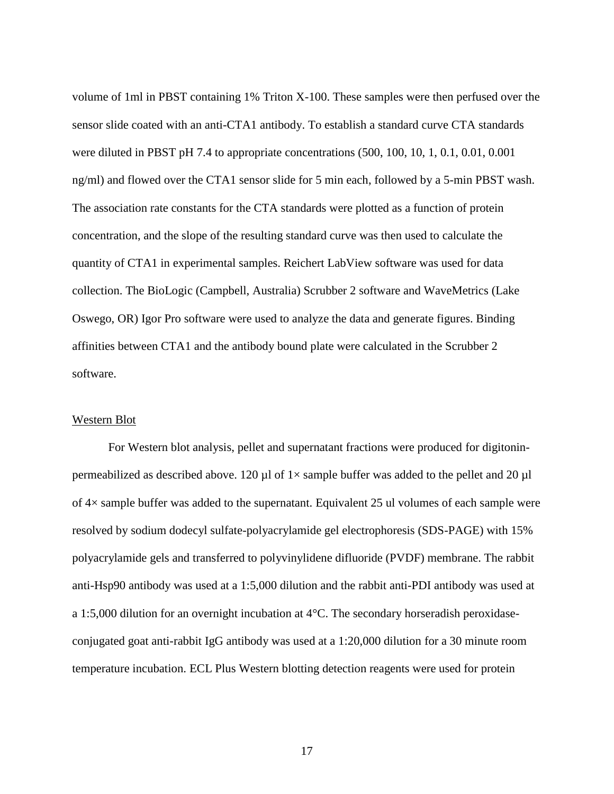volume of 1ml in PBST containing 1% Triton X-100. These samples were then perfused over the sensor slide coated with an anti-CTA1 antibody. To establish a standard curve CTA standards were diluted in PBST pH 7.4 to appropriate concentrations (500, 100, 10, 1, 0.1, 0.01, 0.001 ng/ml) and flowed over the CTA1 sensor slide for 5 min each, followed by a 5-min PBST wash. The association rate constants for the CTA standards were plotted as a function of protein concentration, and the slope of the resulting standard curve was then used to calculate the quantity of CTA1 in experimental samples. Reichert LabView software was used for data collection. The BioLogic (Campbell, Australia) Scrubber 2 software and WaveMetrics (Lake Oswego, OR) Igor Pro software were used to analyze the data and generate figures. Binding affinities between CTA1 and the antibody bound plate were calculated in the Scrubber 2 software.

#### <span id="page-29-0"></span>Western Blot

For Western blot analysis, pellet and supernatant fractions were produced for digitoninpermeabilized as described above. 120  $\mu$ l of 1× sample buffer was added to the pellet and 20  $\mu$ l of 4× sample buffer was added to the supernatant. Equivalent 25 ul volumes of each sample were resolved by sodium dodecyl sulfate-polyacrylamide gel electrophoresis (SDS-PAGE) with 15% polyacrylamide gels and transferred to polyvinylidene difluoride (PVDF) membrane. The rabbit anti-Hsp90 antibody was used at a 1:5,000 dilution and the rabbit anti-PDI antibody was used at a 1:5,000 dilution for an overnight incubation at 4°C. The secondary horseradish peroxidaseconjugated goat anti-rabbit IgG antibody was used at a 1:20,000 dilution for a 30 minute room temperature incubation. ECL Plus Western blotting detection reagents were used for protein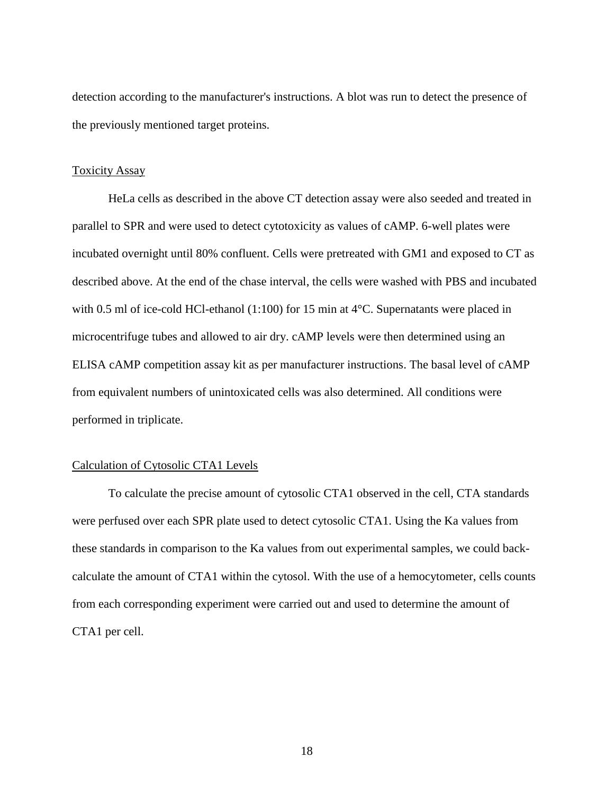detection according to the manufacturer's instructions. A blot was run to detect the presence of the previously mentioned target proteins.

#### <span id="page-30-0"></span>Toxicity Assay

HeLa cells as described in the above CT detection assay were also seeded and treated in parallel to SPR and were used to detect cytotoxicity as values of cAMP. 6-well plates were incubated overnight until 80% confluent. Cells were pretreated with GM1 and exposed to CT as described above. At the end of the chase interval, the cells were washed with PBS and incubated with 0.5 ml of ice-cold HCl-ethanol (1:100) for 15 min at 4<sup>o</sup>C. Supernatants were placed in microcentrifuge tubes and allowed to air dry. cAMP levels were then determined using an ELISA cAMP competition assay kit as per manufacturer instructions. The basal level of cAMP from equivalent numbers of unintoxicated cells was also determined. All conditions were performed in triplicate.

#### <span id="page-30-1"></span>Calculation of Cytosolic CTA1 Levels

To calculate the precise amount of cytosolic CTA1 observed in the cell, CTA standards were perfused over each SPR plate used to detect cytosolic CTA1. Using the Ka values from these standards in comparison to the Ka values from out experimental samples, we could backcalculate the amount of CTA1 within the cytosol. With the use of a hemocytometer, cells counts from each corresponding experiment were carried out and used to determine the amount of CTA1 per cell.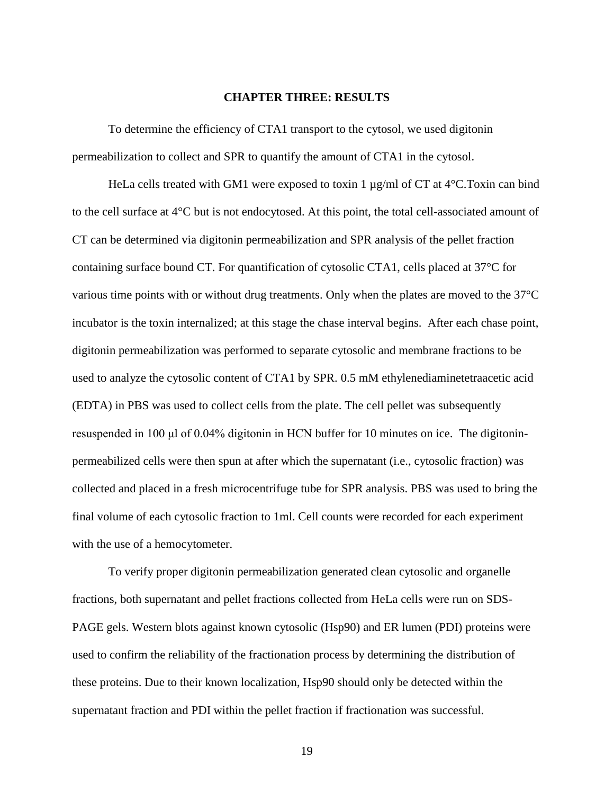#### **CHAPTER THREE: RESULTS**

<span id="page-31-0"></span>To determine the efficiency of CTA1 transport to the cytosol, we used digitonin permeabilization to collect and SPR to quantify the amount of CTA1 in the cytosol.

HeLa cells treated with GM1 were exposed to toxin 1 µg/ml of CT at 4<sup>o</sup>C.Toxin can bind to the cell surface at  $4^{\circ}$ C but is not endocytosed. At this point, the total cell-associated amount of CT can be determined via digitonin permeabilization and SPR analysis of the pellet fraction containing surface bound CT. For quantification of cytosolic CTA1, cells placed at 37°C for various time points with or without drug treatments. Only when the plates are moved to the 37°C incubator is the toxin internalized; at this stage the chase interval begins. After each chase point, digitonin permeabilization was performed to separate cytosolic and membrane fractions to be used to analyze the cytosolic content of CTA1 by SPR. 0.5 mM ethylenediaminetetraacetic acid (EDTA) in PBS was used to collect cells from the plate. The cell pellet was subsequently resuspended in 100 μl of 0.04% digitonin in HCN buffer for 10 minutes on ice. The digitoninpermeabilized cells were then spun at after which the supernatant (i.e., cytosolic fraction) was collected and placed in a fresh microcentrifuge tube for SPR analysis. PBS was used to bring the final volume of each cytosolic fraction to 1ml. Cell counts were recorded for each experiment with the use of a hemocytometer.

To verify proper digitonin permeabilization generated clean cytosolic and organelle fractions, both supernatant and pellet fractions collected from HeLa cells were run on SDS-PAGE gels. Western blots against known cytosolic (Hsp90) and ER lumen (PDI) proteins were used to confirm the reliability of the fractionation process by determining the distribution of these proteins. Due to their known localization, Hsp90 should only be detected within the supernatant fraction and PDI within the pellet fraction if fractionation was successful.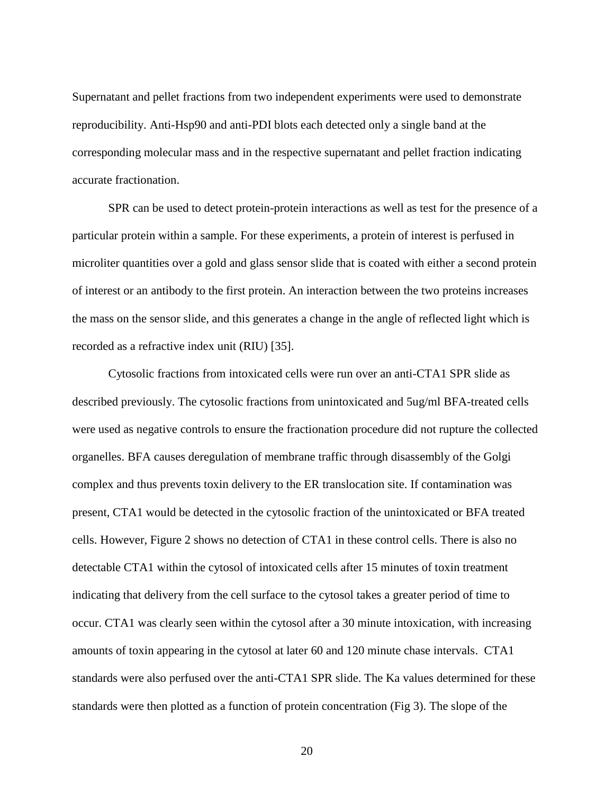Supernatant and pellet fractions from two independent experiments were used to demonstrate reproducibility. Anti-Hsp90 and anti-PDI blots each detected only a single band at the corresponding molecular mass and in the respective supernatant and pellet fraction indicating accurate fractionation.

SPR can be used to detect protein-protein interactions as well as test for the presence of a particular protein within a sample. For these experiments, a protein of interest is perfused in microliter quantities over a gold and glass sensor slide that is coated with either a second protein of interest or an antibody to the first protein. An interaction between the two proteins increases the mass on the sensor slide, and this generates a change in the angle of reflected light which is recorded as a refractive index unit (RIU) [35].

Cytosolic fractions from intoxicated cells were run over an anti-CTA1 SPR slide as described previously. The cytosolic fractions from unintoxicated and 5ug/ml BFA-treated cells were used as negative controls to ensure the fractionation procedure did not rupture the collected organelles. BFA causes deregulation of membrane traffic through disassembly of the Golgi complex and thus prevents toxin delivery to the ER translocation site. If contamination was present, CTA1 would be detected in the cytosolic fraction of the unintoxicated or BFA treated cells. However, Figure 2 shows no detection of CTA1 in these control cells. There is also no detectable CTA1 within the cytosol of intoxicated cells after 15 minutes of toxin treatment indicating that delivery from the cell surface to the cytosol takes a greater period of time to occur. CTA1 was clearly seen within the cytosol after a 30 minute intoxication, with increasing amounts of toxin appearing in the cytosol at later 60 and 120 minute chase intervals. CTA1 standards were also perfused over the anti-CTA1 SPR slide. The Ka values determined for these standards were then plotted as a function of protein concentration (Fig 3). The slope of the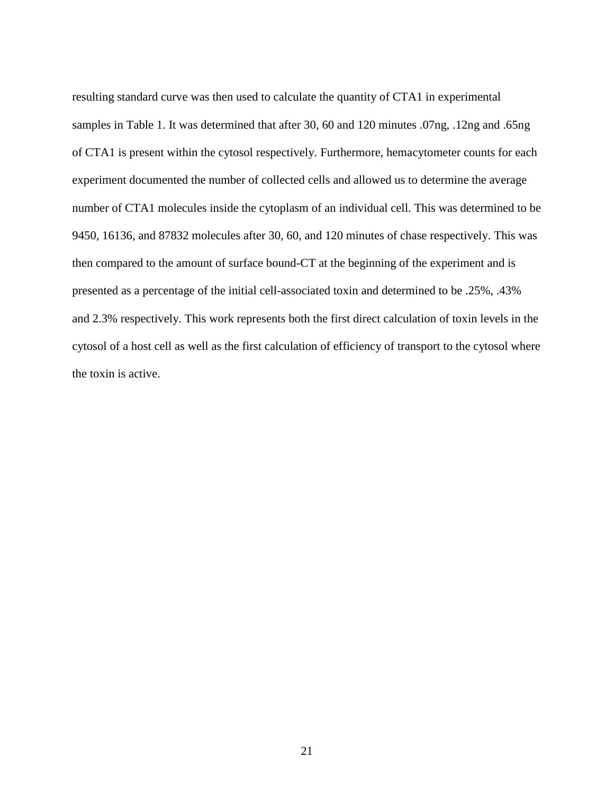resulting standard curve was then used to calculate the quantity of CTA1 in experimental samples in Table 1. It was determined that after 30, 60 and 120 minutes .07ng, .12ng and .65ng of CTA1 is present within the cytosol respectively. Furthermore, hemacytometer counts for each experiment documented the number of collected cells and allowed us to determine the average number of CTA1 molecules inside the cytoplasm of an individual cell. This was determined to be 9450, 16136, and 87832 molecules after 30, 60, and 120 minutes of chase respectively. This was then compared to the amount of surface bound-CT at the beginning of the experiment and is presented as a percentage of the initial cell-associated toxin and determined to be .25%, .43% and 2.3% respectively. This work represents both the first direct calculation of toxin levels in the cytosol of a host cell as well as the first calculation of efficiency of transport to the cytosol where the toxin is active.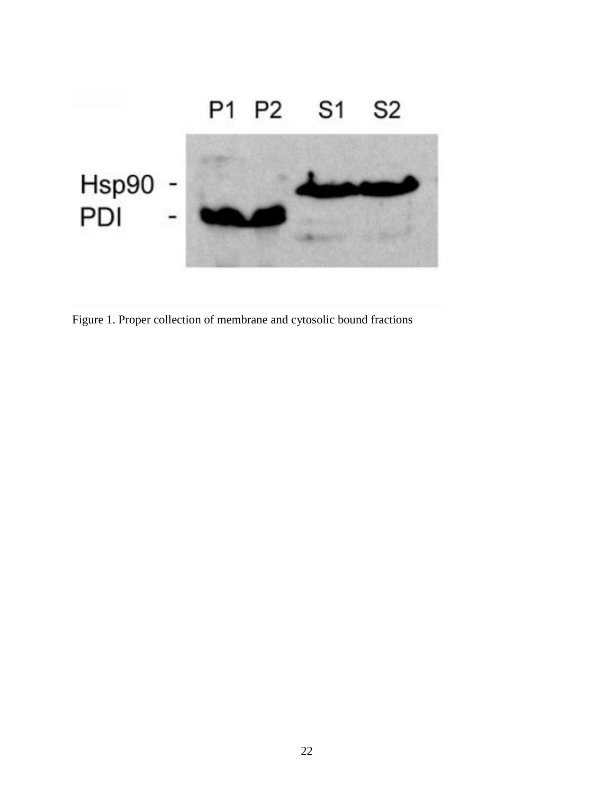

<span id="page-34-0"></span>Figure 1. Proper collection of membrane and cytosolic bound fractions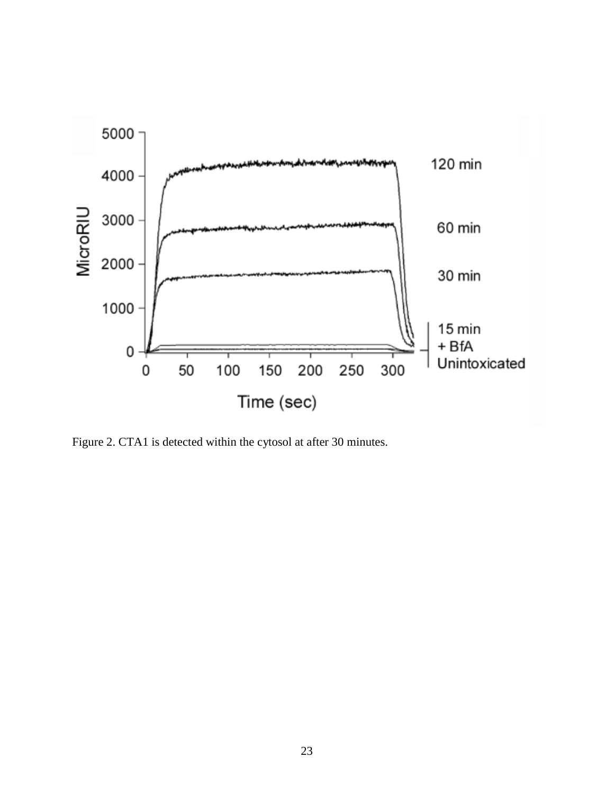

<span id="page-35-0"></span>Figure 2. CTA1 is detected within the cytosol at after 30 minutes.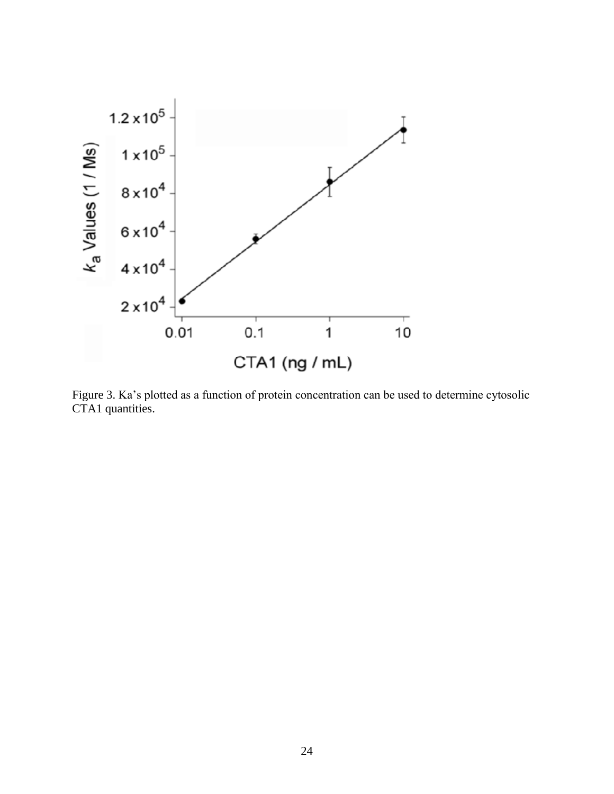

<span id="page-36-0"></span>Figure 3. Ka's plotted as a function of protein concentration can be used to determine cytosolic CTA1 quantities.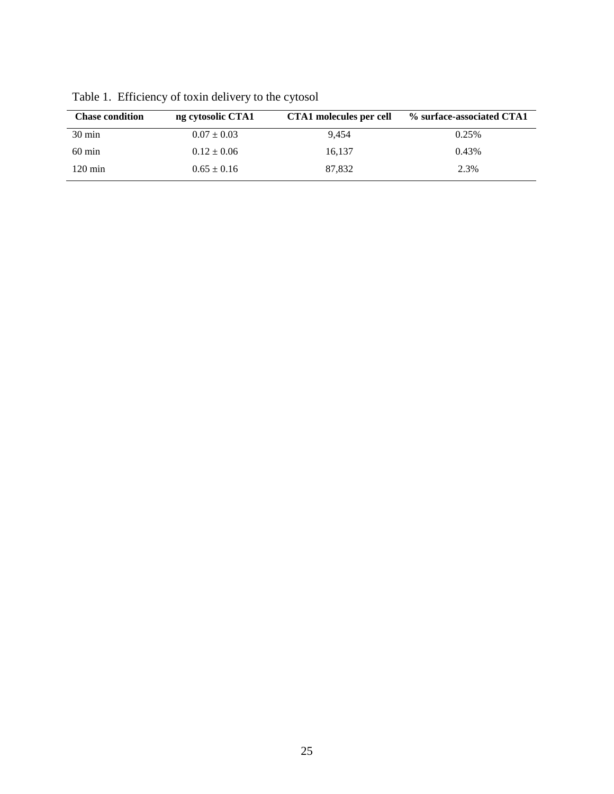| <b>Chase condition</b> | ng cytosolic CTA1 | CTA1 molecules per cell | % surface-associated CTA1 |
|------------------------|-------------------|-------------------------|---------------------------|
| $30 \text{ min}$       | $0.07 \pm 0.03$   | 9.454                   | 0.25%                     |
| $60 \text{ min}$       | $0.12 \pm 0.06$   | 16.137                  | 0.43%                     |
| $120 \text{ min}$      | $0.65 \pm 0.16$   | 87.832                  | 2.3%                      |

<span id="page-37-0"></span>Table 1. Efficiency of toxin delivery to the cytosol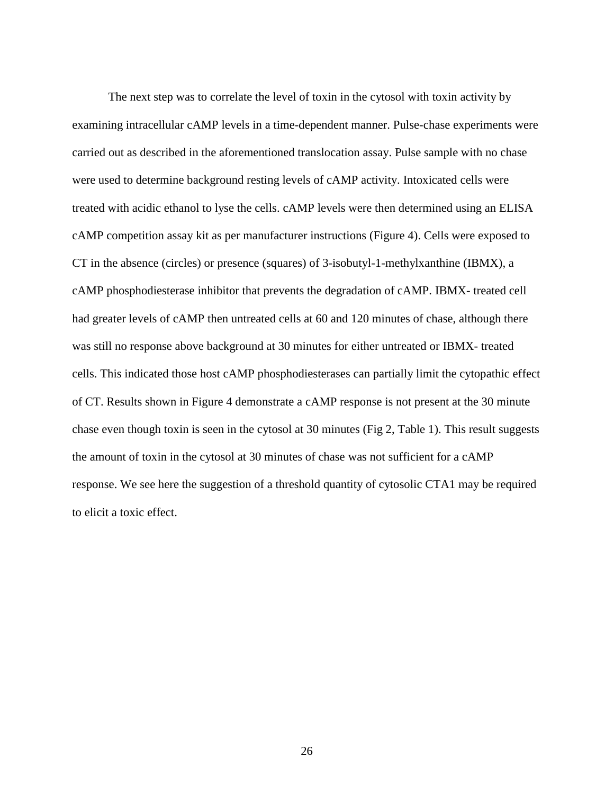The next step was to correlate the level of toxin in the cytosol with toxin activity by examining intracellular cAMP levels in a time-dependent manner. Pulse-chase experiments were carried out as described in the aforementioned translocation assay. Pulse sample with no chase were used to determine background resting levels of cAMP activity. Intoxicated cells were treated with acidic ethanol to lyse the cells. cAMP levels were then determined using an ELISA cAMP competition assay kit as per manufacturer instructions (Figure 4). Cells were exposed to CT in the absence (circles) or presence (squares) of 3-isobutyl-1-methylxanthine (IBMX), a cAMP phosphodiesterase inhibitor that prevents the degradation of cAMP. IBMX- treated cell had greater levels of cAMP then untreated cells at 60 and 120 minutes of chase, although there was still no response above background at 30 minutes for either untreated or IBMX- treated cells. This indicated those host cAMP phosphodiesterases can partially limit the cytopathic effect of CT. Results shown in Figure 4 demonstrate a cAMP response is not present at the 30 minute chase even though toxin is seen in the cytosol at 30 minutes (Fig 2, Table 1). This result suggests the amount of toxin in the cytosol at 30 minutes of chase was not sufficient for a cAMP response. We see here the suggestion of a threshold quantity of cytosolic CTA1 may be required to elicit a toxic effect.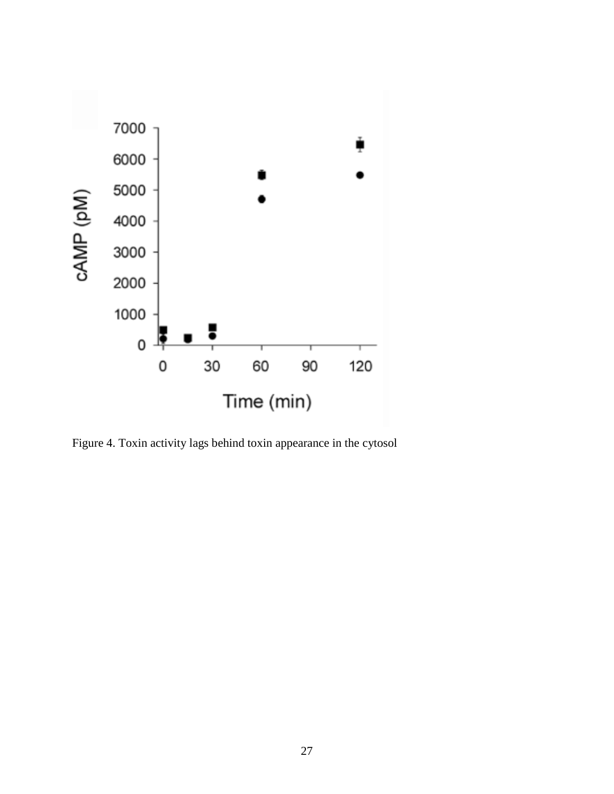

<span id="page-39-0"></span>Figure 4. Toxin activity lags behind toxin appearance in the cytosol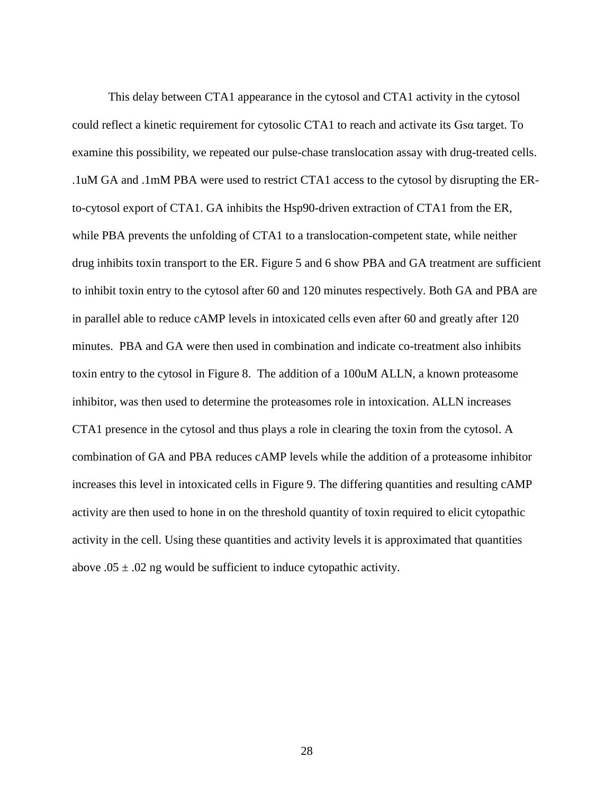This delay between CTA1 appearance in the cytosol and CTA1 activity in the cytosol could reflect a kinetic requirement for cytosolic CTA1 to reach and activate its Gsα target. To examine this possibility, we repeated our pulse-chase translocation assay with drug-treated cells. .1uM GA and .1mM PBA were used to restrict CTA1 access to the cytosol by disrupting the ERto-cytosol export of CTA1. GA inhibits the Hsp90-driven extraction of CTA1 from the ER, while PBA prevents the unfolding of CTA1 to a translocation-competent state, while neither drug inhibits toxin transport to the ER. Figure 5 and 6 show PBA and GA treatment are sufficient to inhibit toxin entry to the cytosol after 60 and 120 minutes respectively. Both GA and PBA are in parallel able to reduce cAMP levels in intoxicated cells even after 60 and greatly after 120 minutes. PBA and GA were then used in combination and indicate co-treatment also inhibits toxin entry to the cytosol in Figure 8. The addition of a 100uM ALLN, a known proteasome inhibitor, was then used to determine the proteasomes role in intoxication. ALLN increases CTA1 presence in the cytosol and thus plays a role in clearing the toxin from the cytosol. A combination of GA and PBA reduces cAMP levels while the addition of a proteasome inhibitor increases this level in intoxicated cells in Figure 9. The differing quantities and resulting cAMP activity are then used to hone in on the threshold quantity of toxin required to elicit cytopathic activity in the cell. Using these quantities and activity levels it is approximated that quantities above  $.05 \pm .02$  ng would be sufficient to induce cytopathic activity.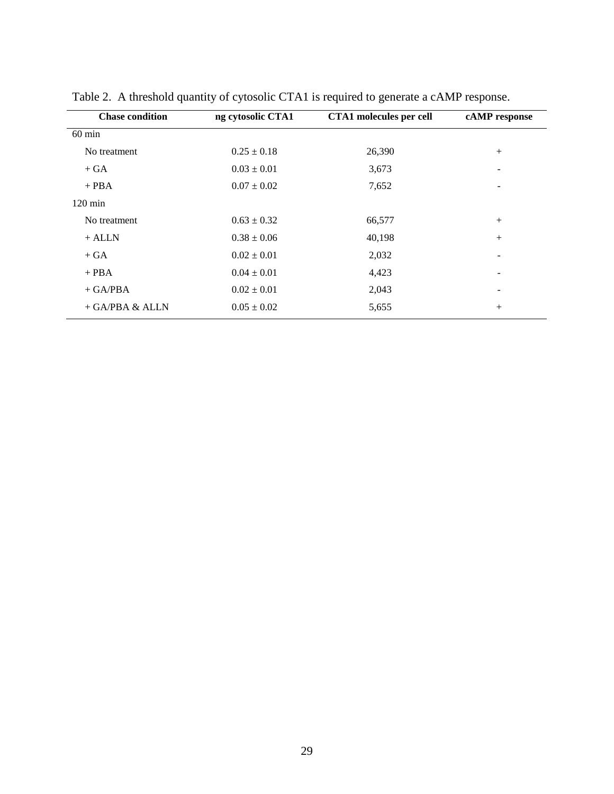| <b>Chase condition</b><br>ng cytosolic CTA1 |                 | <b>CTA1</b> molecules per cell | cAMP response |  |
|---------------------------------------------|-----------------|--------------------------------|---------------|--|
| $60$ min                                    |                 |                                |               |  |
| No treatment                                | $0.25 \pm 0.18$ | 26,390                         | $^{+}$        |  |
| $+ GA$                                      | $0.03 \pm 0.01$ | 3,673                          |               |  |
| $+$ PBA                                     | $0.07 \pm 0.02$ | 7,652                          |               |  |
| $120 \text{ min}$                           |                 |                                |               |  |
| No treatment                                | $0.63 \pm 0.32$ | 66,577                         | $+$           |  |
| $+$ ALLN                                    | $0.38 \pm 0.06$ | 40,198                         | $+$           |  |
| $+ GA$                                      | $0.02 \pm 0.01$ | 2,032                          |               |  |
| $+$ PBA                                     | $0.04 \pm 0.01$ | 4,423                          |               |  |
| $+$ GA/PBA                                  | $0.02 \pm 0.01$ | 2,043                          | -             |  |
| + GA/PBA & ALLN                             | $0.05 \pm 0.02$ | 5,655                          | $^{+}$        |  |

<span id="page-41-0"></span>Table 2. A threshold quantity of cytosolic CTA1 is required to generate a cAMP response.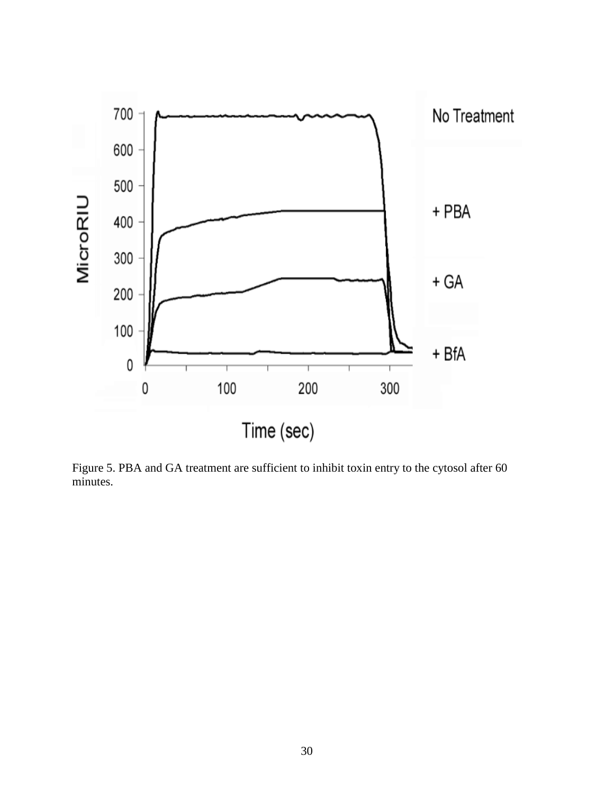

<span id="page-42-0"></span>Figure 5. PBA and GA treatment are sufficient to inhibit toxin entry to the cytosol after 60 minutes.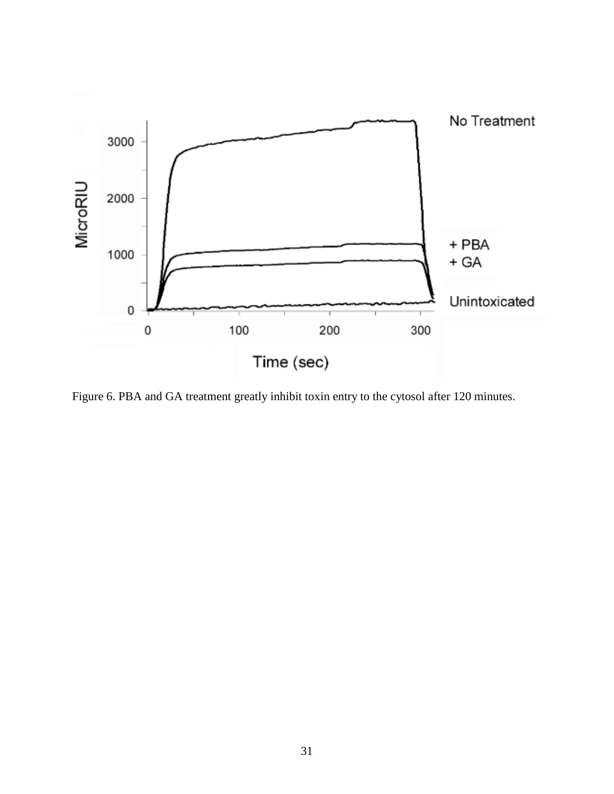

<span id="page-43-0"></span>Figure 6. PBA and GA treatment greatly inhibit toxin entry to the cytosol after 120 minutes.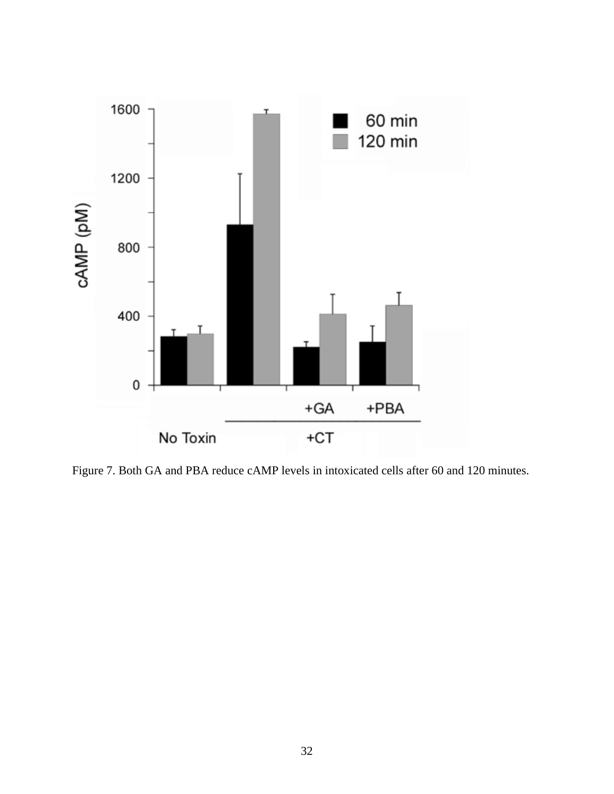

<span id="page-44-0"></span>Figure 7. Both GA and PBA reduce cAMP levels in intoxicated cells after 60 and 120 minutes.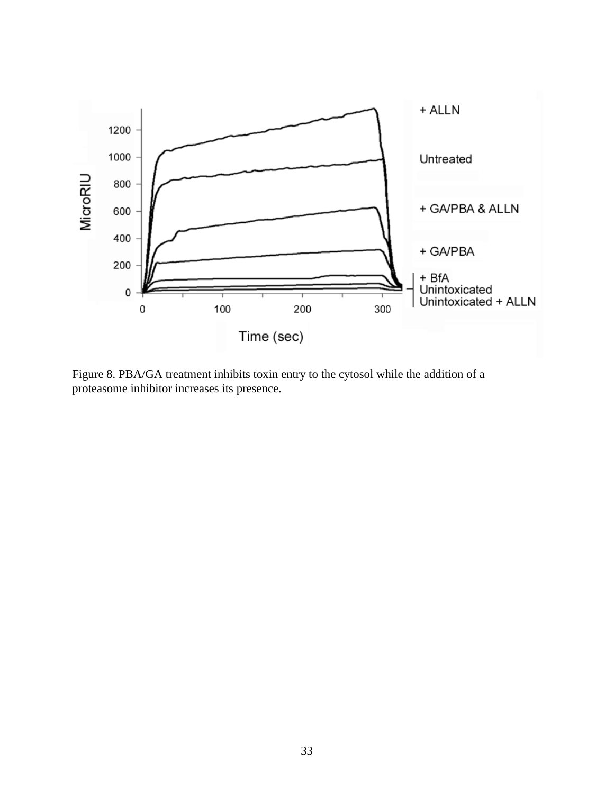

<span id="page-45-0"></span>Figure 8. PBA/GA treatment inhibits toxin entry to the cytosol while the addition of a proteasome inhibitor increases its presence.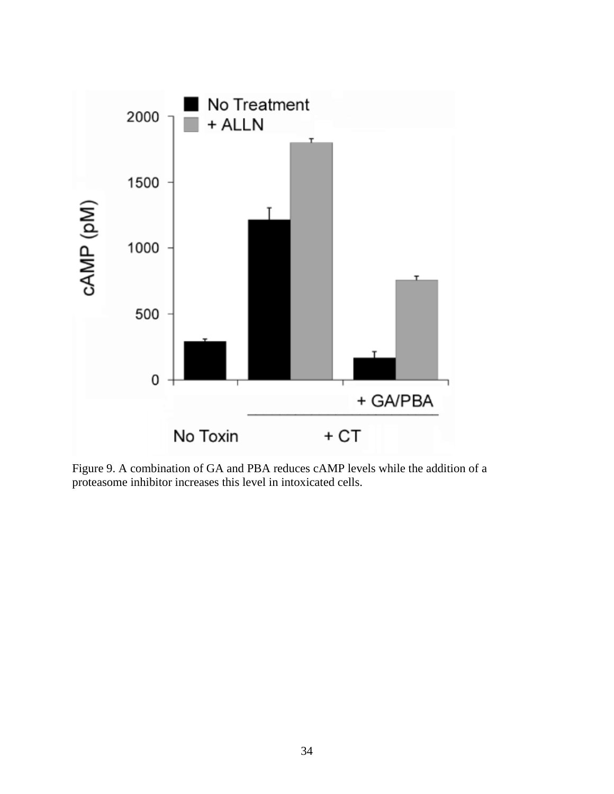

<span id="page-46-0"></span>Figure 9. A combination of GA and PBA reduces cAMP levels while the addition of a proteasome inhibitor increases this level in intoxicated cells.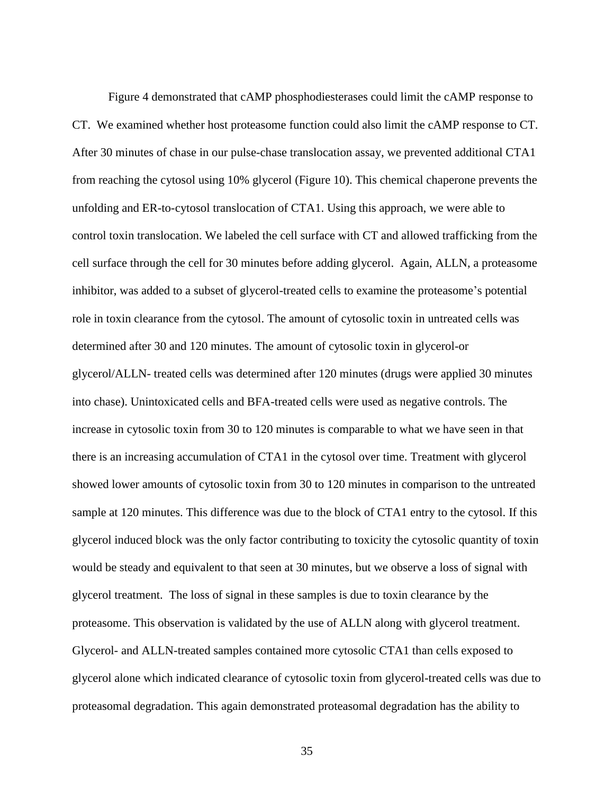Figure 4 demonstrated that cAMP phosphodiesterases could limit the cAMP response to CT. We examined whether host proteasome function could also limit the cAMP response to CT. After 30 minutes of chase in our pulse-chase translocation assay, we prevented additional CTA1 from reaching the cytosol using 10% glycerol (Figure 10). This chemical chaperone prevents the unfolding and ER-to-cytosol translocation of CTA1. Using this approach, we were able to control toxin translocation. We labeled the cell surface with CT and allowed trafficking from the cell surface through the cell for 30 minutes before adding glycerol. Again, ALLN, a proteasome inhibitor, was added to a subset of glycerol-treated cells to examine the proteasome's potential role in toxin clearance from the cytosol. The amount of cytosolic toxin in untreated cells was determined after 30 and 120 minutes. The amount of cytosolic toxin in glycerol-or glycerol/ALLN- treated cells was determined after 120 minutes (drugs were applied 30 minutes into chase). Unintoxicated cells and BFA-treated cells were used as negative controls. The increase in cytosolic toxin from 30 to 120 minutes is comparable to what we have seen in that there is an increasing accumulation of CTA1 in the cytosol over time. Treatment with glycerol showed lower amounts of cytosolic toxin from 30 to 120 minutes in comparison to the untreated sample at 120 minutes. This difference was due to the block of CTA1 entry to the cytosol. If this glycerol induced block was the only factor contributing to toxicity the cytosolic quantity of toxin would be steady and equivalent to that seen at 30 minutes, but we observe a loss of signal with glycerol treatment. The loss of signal in these samples is due to toxin clearance by the proteasome. This observation is validated by the use of ALLN along with glycerol treatment. Glycerol- and ALLN-treated samples contained more cytosolic CTA1 than cells exposed to glycerol alone which indicated clearance of cytosolic toxin from glycerol-treated cells was due to proteasomal degradation. This again demonstrated proteasomal degradation has the ability to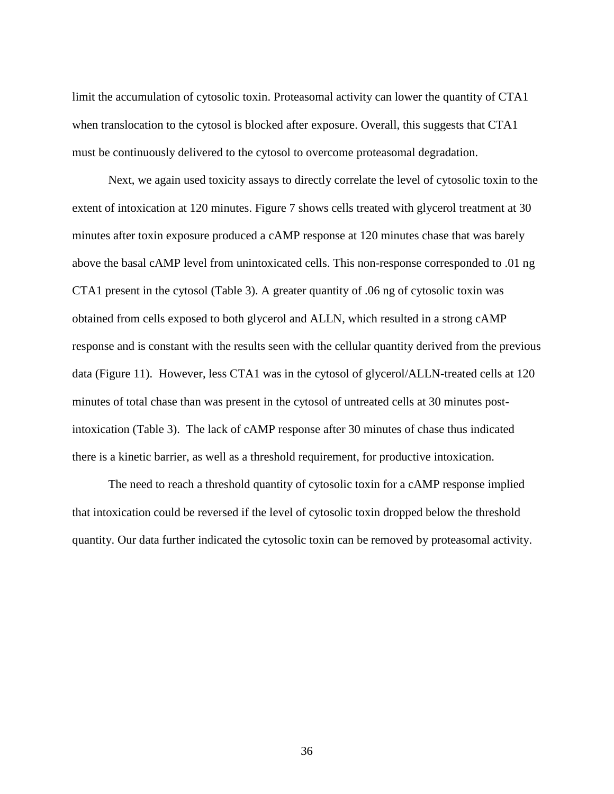limit the accumulation of cytosolic toxin. Proteasomal activity can lower the quantity of CTA1 when translocation to the cytosol is blocked after exposure. Overall, this suggests that CTA1 must be continuously delivered to the cytosol to overcome proteasomal degradation.

Next, we again used toxicity assays to directly correlate the level of cytosolic toxin to the extent of intoxication at 120 minutes. Figure 7 shows cells treated with glycerol treatment at 30 minutes after toxin exposure produced a cAMP response at 120 minutes chase that was barely above the basal cAMP level from unintoxicated cells. This non-response corresponded to .01 ng CTA1 present in the cytosol (Table 3). A greater quantity of .06 ng of cytosolic toxin was obtained from cells exposed to both glycerol and ALLN, which resulted in a strong cAMP response and is constant with the results seen with the cellular quantity derived from the previous data (Figure 11). However, less CTA1 was in the cytosol of glycerol/ALLN-treated cells at 120 minutes of total chase than was present in the cytosol of untreated cells at 30 minutes postintoxication (Table 3). The lack of cAMP response after 30 minutes of chase thus indicated there is a kinetic barrier, as well as a threshold requirement, for productive intoxication.

The need to reach a threshold quantity of cytosolic toxin for a cAMP response implied that intoxication could be reversed if the level of cytosolic toxin dropped below the threshold quantity. Our data further indicated the cytosolic toxin can be removed by proteasomal activity.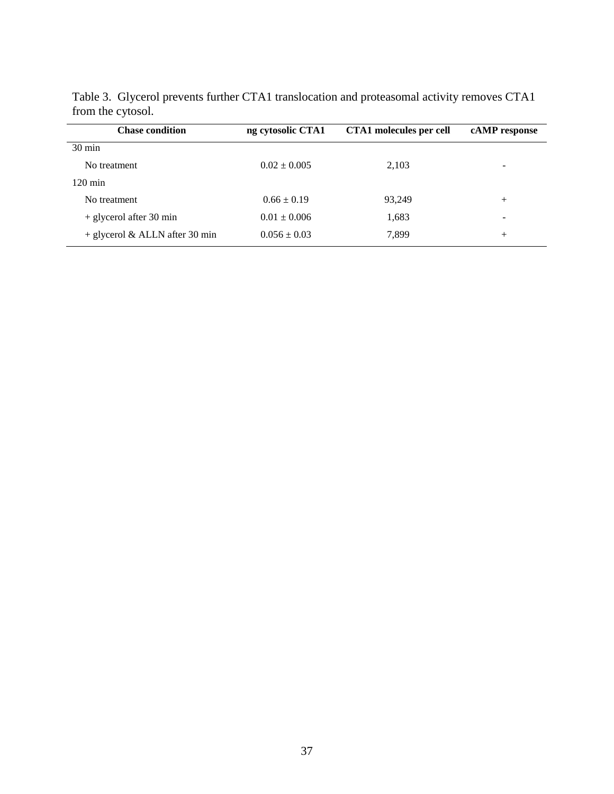| <b>Chase condition</b>           | ng cytosolic CTA1 | <b>CTA1</b> molecules per cell | cAMP response |
|----------------------------------|-------------------|--------------------------------|---------------|
| $30 \text{ min}$                 |                   |                                |               |
| No treatment                     | $0.02 \pm 0.005$  | 2,103                          | -             |
| $120 \text{ min}$                |                   |                                |               |
| No treatment                     | $0.66 \pm 0.19$   | 93,249                         | $^{+}$        |
| $+$ glycerol after 30 min        | $0.01 \pm 0.006$  | 1,683                          | -             |
| $+$ glycerol & ALLN after 30 min | $0.056 \pm 0.03$  | 7,899                          | $^+$          |
|                                  |                   |                                |               |

<span id="page-49-0"></span>Table 3. Glycerol prevents further CTA1 translocation and proteasomal activity removes CTA1 from the cytosol.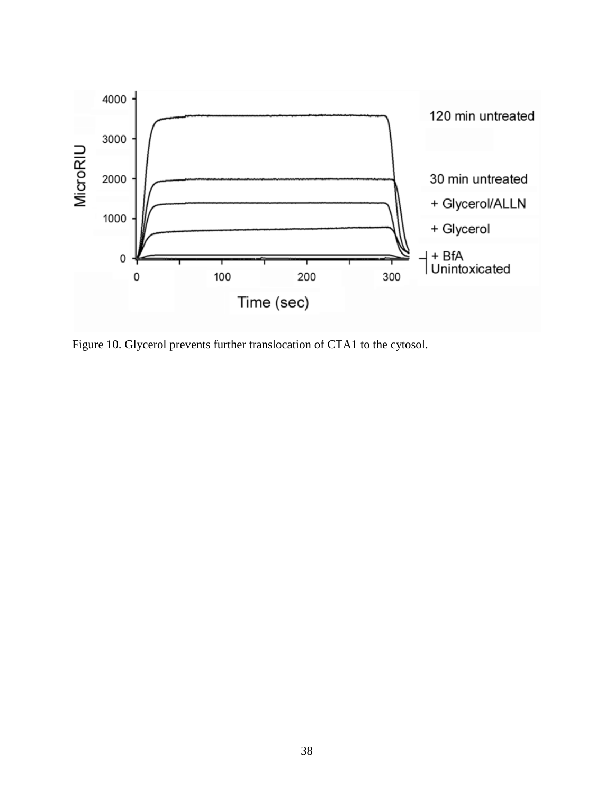

<span id="page-50-0"></span>Figure 10. Glycerol prevents further translocation of CTA1 to the cytosol.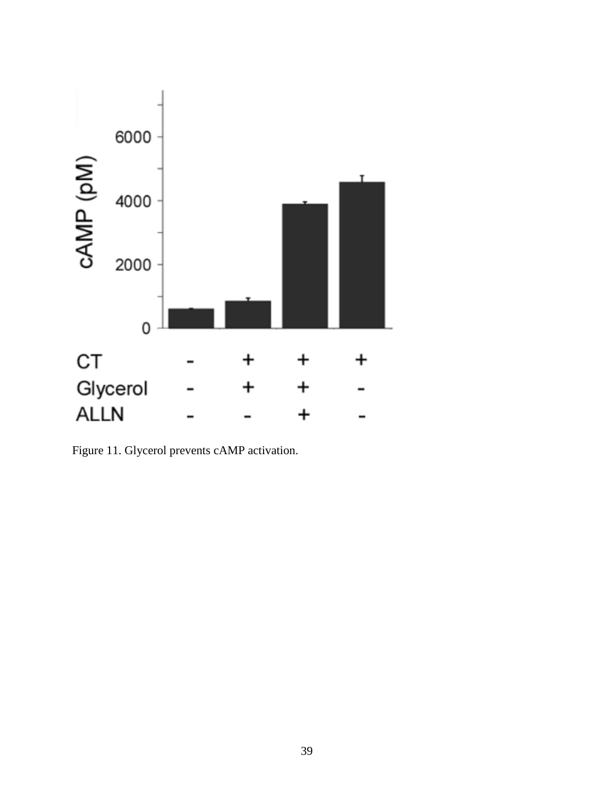

<span id="page-51-0"></span>Figure 11. Glycerol prevents cAMP activation.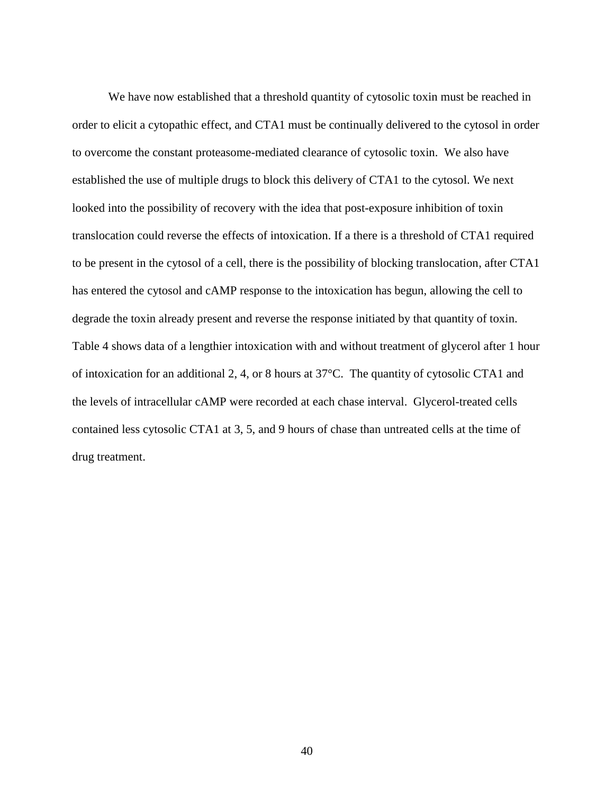We have now established that a threshold quantity of cytosolic toxin must be reached in order to elicit a cytopathic effect, and CTA1 must be continually delivered to the cytosol in order to overcome the constant proteasome-mediated clearance of cytosolic toxin. We also have established the use of multiple drugs to block this delivery of CTA1 to the cytosol. We next looked into the possibility of recovery with the idea that post-exposure inhibition of toxin translocation could reverse the effects of intoxication. If a there is a threshold of CTA1 required to be present in the cytosol of a cell, there is the possibility of blocking translocation, after CTA1 has entered the cytosol and cAMP response to the intoxication has begun, allowing the cell to degrade the toxin already present and reverse the response initiated by that quantity of toxin. Table 4 shows data of a lengthier intoxication with and without treatment of glycerol after 1 hour of intoxication for an additional 2, 4, or 8 hours at 37°C. The quantity of cytosolic CTA1 and the levels of intracellular cAMP were recorded at each chase interval. Glycerol-treated cells contained less cytosolic CTA1 at 3, 5, and 9 hours of chase than untreated cells at the time of drug treatment.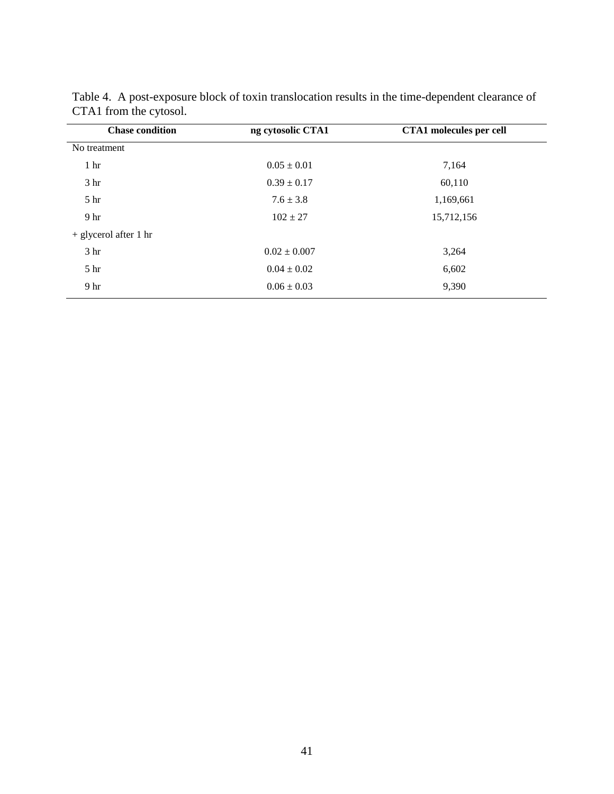| <b>Chase condition</b>  | ng cytosolic CTA1 | <b>CTA1</b> molecules per cell |
|-------------------------|-------------------|--------------------------------|
| No treatment            |                   |                                |
| 1 <sub>hr</sub>         | $0.05 \pm 0.01$   | 7,164                          |
| 3 <sub>hr</sub>         | $0.39 \pm 0.17$   | 60,110                         |
| 5 <sup>hr</sup>         | $7.6 \pm 3.8$     | 1,169,661                      |
| 9 <sub>hr</sub>         | $102 \pm 27$      | 15,712,156                     |
| $+$ glycerol after 1 hr |                   |                                |
| 3 <sub>hr</sub>         | $0.02 \pm 0.007$  | 3,264                          |
| 5 <sup>hr</sup>         | $0.04 \pm 0.02$   | 6,602                          |
| 9 <sub>hr</sub>         | $0.06 \pm 0.03$   | 9,390                          |

<span id="page-53-0"></span>

| Table 4. A post-exposure block of toxin translocation results in the time-dependent clearance of |  |  |  |
|--------------------------------------------------------------------------------------------------|--|--|--|
| CTA1 from the cytosol.                                                                           |  |  |  |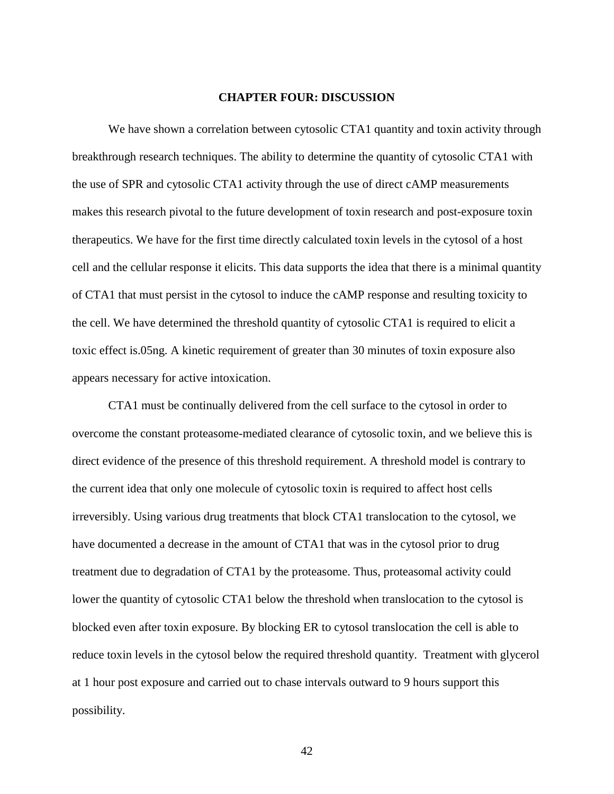#### **CHAPTER FOUR: DISCUSSION**

<span id="page-54-0"></span>We have shown a correlation between cytosolic CTA1 quantity and toxin activity through breakthrough research techniques. The ability to determine the quantity of cytosolic CTA1 with the use of SPR and cytosolic CTA1 activity through the use of direct cAMP measurements makes this research pivotal to the future development of toxin research and post-exposure toxin therapeutics. We have for the first time directly calculated toxin levels in the cytosol of a host cell and the cellular response it elicits. This data supports the idea that there is a minimal quantity of CTA1 that must persist in the cytosol to induce the cAMP response and resulting toxicity to the cell. We have determined the threshold quantity of cytosolic CTA1 is required to elicit a toxic effect is.05ng. A kinetic requirement of greater than 30 minutes of toxin exposure also appears necessary for active intoxication.

CTA1 must be continually delivered from the cell surface to the cytosol in order to overcome the constant proteasome-mediated clearance of cytosolic toxin, and we believe this is direct evidence of the presence of this threshold requirement. A threshold model is contrary to the current idea that only one molecule of cytosolic toxin is required to affect host cells irreversibly. Using various drug treatments that block CTA1 translocation to the cytosol, we have documented a decrease in the amount of CTA1 that was in the cytosol prior to drug treatment due to degradation of CTA1 by the proteasome. Thus, proteasomal activity could lower the quantity of cytosolic CTA1 below the threshold when translocation to the cytosol is blocked even after toxin exposure. By blocking ER to cytosol translocation the cell is able to reduce toxin levels in the cytosol below the required threshold quantity. Treatment with glycerol at 1 hour post exposure and carried out to chase intervals outward to 9 hours support this possibility.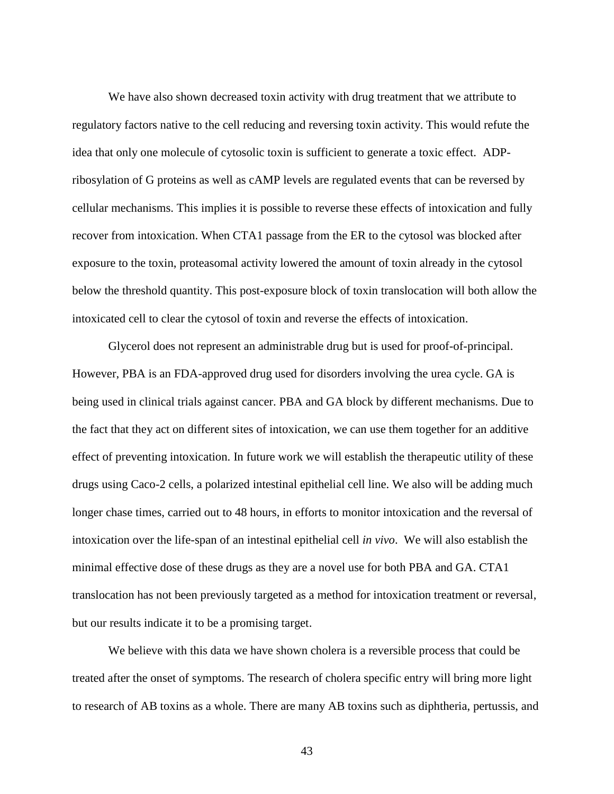We have also shown decreased toxin activity with drug treatment that we attribute to regulatory factors native to the cell reducing and reversing toxin activity. This would refute the idea that only one molecule of cytosolic toxin is sufficient to generate a toxic effect. ADPribosylation of G proteins as well as cAMP levels are regulated events that can be reversed by cellular mechanisms. This implies it is possible to reverse these effects of intoxication and fully recover from intoxication. When CTA1 passage from the ER to the cytosol was blocked after exposure to the toxin, proteasomal activity lowered the amount of toxin already in the cytosol below the threshold quantity. This post-exposure block of toxin translocation will both allow the intoxicated cell to clear the cytosol of toxin and reverse the effects of intoxication.

Glycerol does not represent an administrable drug but is used for proof-of-principal. However, PBA is an FDA-approved drug used for disorders involving the urea cycle. GA is being used in clinical trials against cancer. PBA and GA block by different mechanisms. Due to the fact that they act on different sites of intoxication, we can use them together for an additive effect of preventing intoxication. In future work we will establish the therapeutic utility of these drugs using Caco-2 cells, a polarized intestinal epithelial cell line. We also will be adding much longer chase times, carried out to 48 hours, in efforts to monitor intoxication and the reversal of intoxication over the life-span of an intestinal epithelial cell *in vivo*. We will also establish the minimal effective dose of these drugs as they are a novel use for both PBA and GA. CTA1 translocation has not been previously targeted as a method for intoxication treatment or reversal, but our results indicate it to be a promising target.

We believe with this data we have shown cholera is a reversible process that could be treated after the onset of symptoms. The research of cholera specific entry will bring more light to research of AB toxins as a whole. There are many AB toxins such as diphtheria, pertussis, and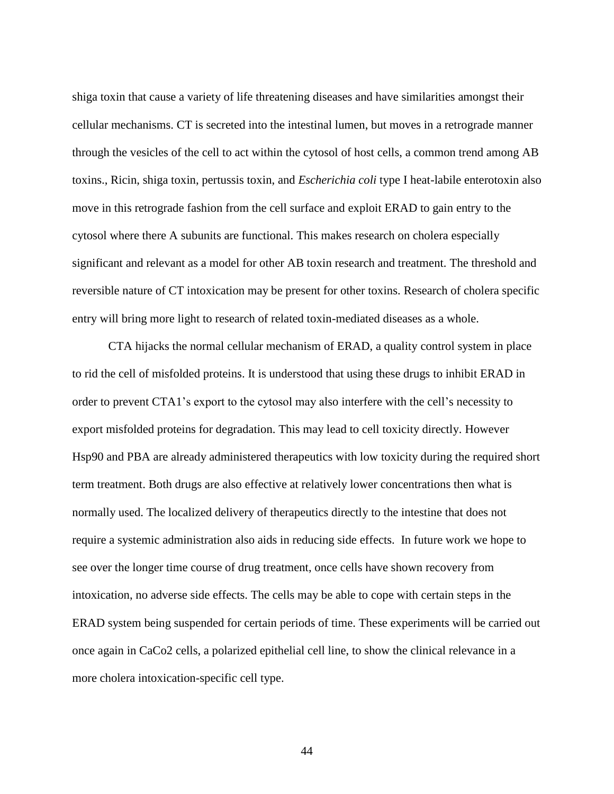shiga toxin that cause a variety of life threatening diseases and have similarities amongst their cellular mechanisms. CT is secreted into the intestinal lumen, but moves in a retrograde manner through the vesicles of the cell to act within the cytosol of host cells, a common trend among AB toxins., Ricin, shiga toxin, pertussis toxin, and *Escherichia coli* type I heat-labile enterotoxin also move in this retrograde fashion from the cell surface and exploit ERAD to gain entry to the cytosol where there A subunits are functional. This makes research on cholera especially significant and relevant as a model for other AB toxin research and treatment. The threshold and reversible nature of CT intoxication may be present for other toxins. Research of cholera specific entry will bring more light to research of related toxin-mediated diseases as a whole.

CTA hijacks the normal cellular mechanism of ERAD, a quality control system in place to rid the cell of misfolded proteins. It is understood that using these drugs to inhibit ERAD in order to prevent CTA1's export to the cytosol may also interfere with the cell's necessity to export misfolded proteins for degradation. This may lead to cell toxicity directly. However Hsp90 and PBA are already administered therapeutics with low toxicity during the required short term treatment. Both drugs are also effective at relatively lower concentrations then what is normally used. The localized delivery of therapeutics directly to the intestine that does not require a systemic administration also aids in reducing side effects. In future work we hope to see over the longer time course of drug treatment, once cells have shown recovery from intoxication, no adverse side effects. The cells may be able to cope with certain steps in the ERAD system being suspended for certain periods of time. These experiments will be carried out once again in CaCo2 cells, a polarized epithelial cell line, to show the clinical relevance in a more cholera intoxication-specific cell type.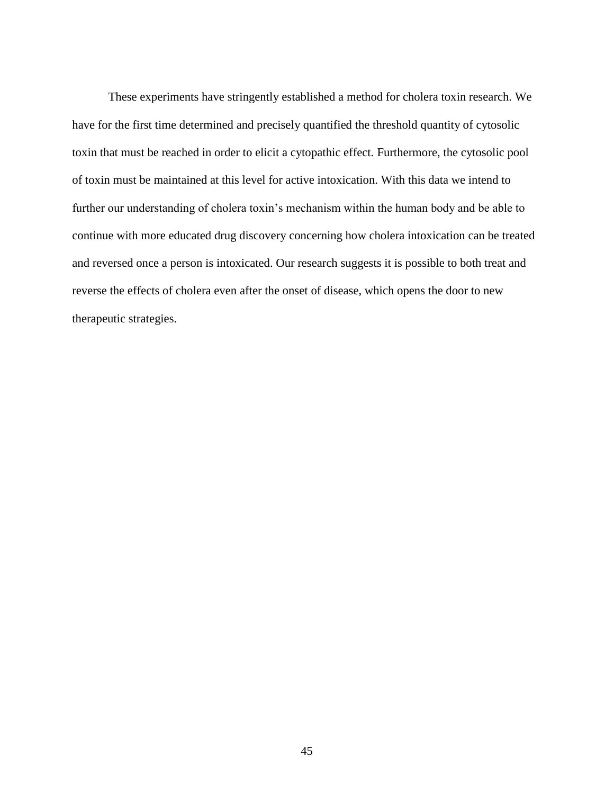These experiments have stringently established a method for cholera toxin research. We have for the first time determined and precisely quantified the threshold quantity of cytosolic toxin that must be reached in order to elicit a cytopathic effect. Furthermore, the cytosolic pool of toxin must be maintained at this level for active intoxication. With this data we intend to further our understanding of cholera toxin's mechanism within the human body and be able to continue with more educated drug discovery concerning how cholera intoxication can be treated and reversed once a person is intoxicated. Our research suggests it is possible to both treat and reverse the effects of cholera even after the onset of disease, which opens the door to new therapeutic strategies.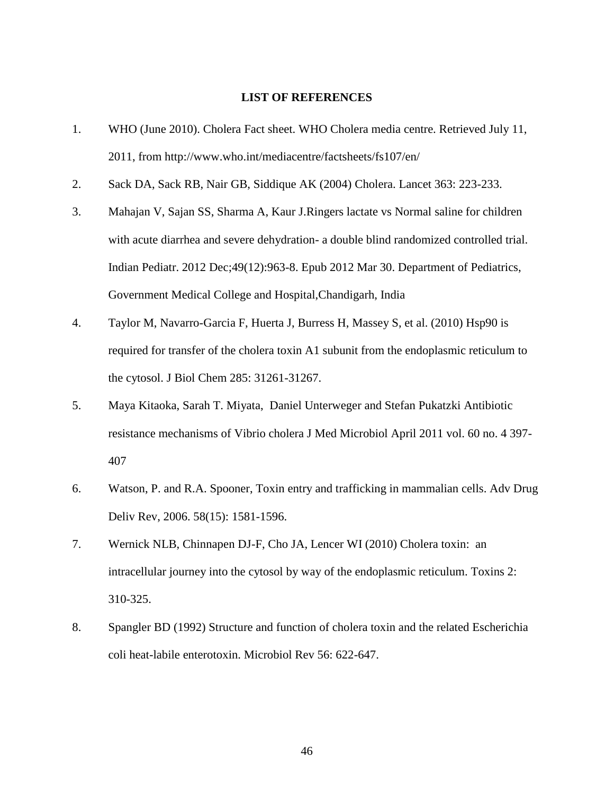#### **LIST OF REFERENCES**

- <span id="page-58-0"></span>1. WHO (June 2010). Cholera Fact sheet. WHO Cholera media centre. Retrieved July 11, 2011, from http://www.who.int/mediacentre/factsheets/fs107/en/
- 2. Sack DA, Sack RB, Nair GB, Siddique AK (2004) Cholera. Lancet 363: 223-233.
- 3. Mahajan V, Sajan SS, Sharma A, Kaur J.Ringers lactate vs Normal saline for children with acute diarrhea and severe dehydration- a double blind randomized controlled trial. Indian Pediatr. 2012 Dec;49(12):963-8. Epub 2012 Mar 30. Department of Pediatrics, Government Medical College and Hospital,Chandigarh, India
- 4. Taylor M, Navarro-Garcia F, Huerta J, Burress H, Massey S, et al. (2010) Hsp90 is required for transfer of the cholera toxin A1 subunit from the endoplasmic reticulum to the cytosol. J Biol Chem 285: 31261-31267.
- 5. Maya Kitaoka, Sarah T. Miyata, Daniel Unterweger and Stefan Pukatzki Antibiotic resistance mechanisms of Vibrio cholera J Med Microbiol April 2011 vol. 60 no. 4 397- 407
- 6. Watson, P. and R.A. Spooner, Toxin entry and trafficking in mammalian cells. Adv Drug Deliv Rev, 2006. 58(15): 1581-1596.
- 7. Wernick NLB, Chinnapen DJ-F, Cho JA, Lencer WI (2010) Cholera toxin: an intracellular journey into the cytosol by way of the endoplasmic reticulum. Toxins 2: 310-325.
- 8. Spangler BD (1992) Structure and function of cholera toxin and the related Escherichia coli heat-labile enterotoxin. Microbiol Rev 56: 622-647.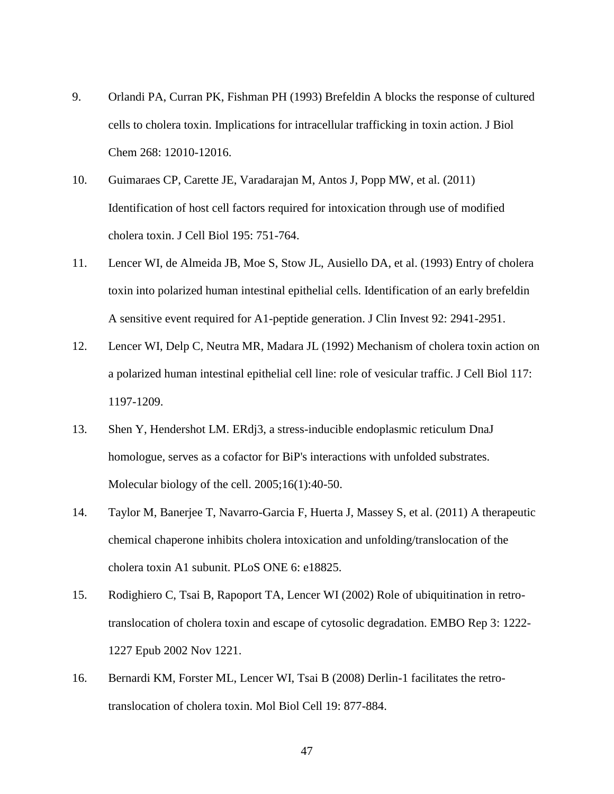- 9. Orlandi PA, Curran PK, Fishman PH (1993) Brefeldin A blocks the response of cultured cells to cholera toxin. Implications for intracellular trafficking in toxin action. J Biol Chem 268: 12010-12016.
- 10. Guimaraes CP, Carette JE, Varadarajan M, Antos J, Popp MW, et al. (2011) Identification of host cell factors required for intoxication through use of modified cholera toxin. J Cell Biol 195: 751-764.
- 11. Lencer WI, de Almeida JB, Moe S, Stow JL, Ausiello DA, et al. (1993) Entry of cholera toxin into polarized human intestinal epithelial cells. Identification of an early brefeldin A sensitive event required for A1-peptide generation. J Clin Invest 92: 2941-2951.
- 12. Lencer WI, Delp C, Neutra MR, Madara JL (1992) Mechanism of cholera toxin action on a polarized human intestinal epithelial cell line: role of vesicular traffic. J Cell Biol 117: 1197-1209.
- 13. Shen Y, Hendershot LM. ERdj3, a stress-inducible endoplasmic reticulum DnaJ homologue, serves as a cofactor for BiP's interactions with unfolded substrates. Molecular biology of the cell. 2005;16(1):40-50.
- 14. Taylor M, Banerjee T, Navarro-Garcia F, Huerta J, Massey S, et al. (2011) A therapeutic chemical chaperone inhibits cholera intoxication and unfolding/translocation of the cholera toxin A1 subunit. PLoS ONE 6: e18825.
- 15. Rodighiero C, Tsai B, Rapoport TA, Lencer WI (2002) Role of ubiquitination in retrotranslocation of cholera toxin and escape of cytosolic degradation. EMBO Rep 3: 1222- 1227 Epub 2002 Nov 1221.
- 16. Bernardi KM, Forster ML, Lencer WI, Tsai B (2008) Derlin-1 facilitates the retrotranslocation of cholera toxin. Mol Biol Cell 19: 877-884.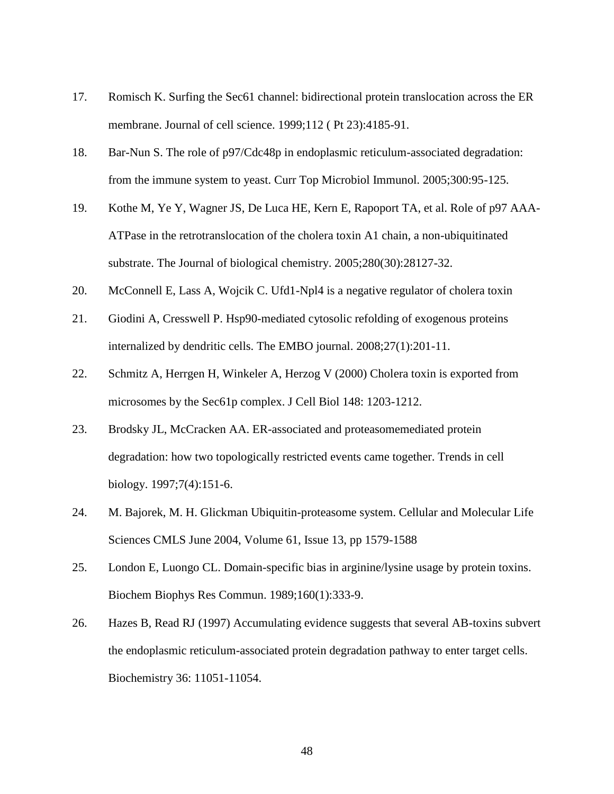- 17. Romisch K. Surfing the Sec61 channel: bidirectional protein translocation across the ER membrane. Journal of cell science. 1999;112 ( Pt 23):4185-91.
- 18. Bar-Nun S. The role of p97/Cdc48p in endoplasmic reticulum-associated degradation: from the immune system to yeast. Curr Top Microbiol Immunol. 2005;300:95-125.
- 19. Kothe M, Ye Y, Wagner JS, De Luca HE, Kern E, Rapoport TA, et al. Role of p97 AAA-ATPase in the retrotranslocation of the cholera toxin A1 chain, a non-ubiquitinated substrate. The Journal of biological chemistry. 2005;280(30):28127-32.
- 20. McConnell E, Lass A, Wojcik C. Ufd1-Npl4 is a negative regulator of cholera toxin
- 21. Giodini A, Cresswell P. Hsp90-mediated cytosolic refolding of exogenous proteins internalized by dendritic cells. The EMBO journal. 2008;27(1):201-11.
- 22. Schmitz A, Herrgen H, Winkeler A, Herzog V (2000) Cholera toxin is exported from microsomes by the Sec61p complex. J Cell Biol 148: 1203-1212.
- 23. Brodsky JL, McCracken AA. ER-associated and proteasomemediated protein degradation: how two topologically restricted events came together. Trends in cell biology. 1997;7(4):151-6.
- 24. M. Bajorek, M. H. Glickman Ubiquitin-proteasome system. Cellular and Molecular Life Sciences CMLS June 2004, Volume 61, Issue 13, pp 1579-1588
- 25. London E, Luongo CL. Domain-specific bias in arginine/lysine usage by protein toxins. Biochem Biophys Res Commun. 1989;160(1):333-9.
- 26. Hazes B, Read RJ (1997) Accumulating evidence suggests that several AB-toxins subvert the endoplasmic reticulum-associated protein degradation pathway to enter target cells. Biochemistry 36: 11051-11054.